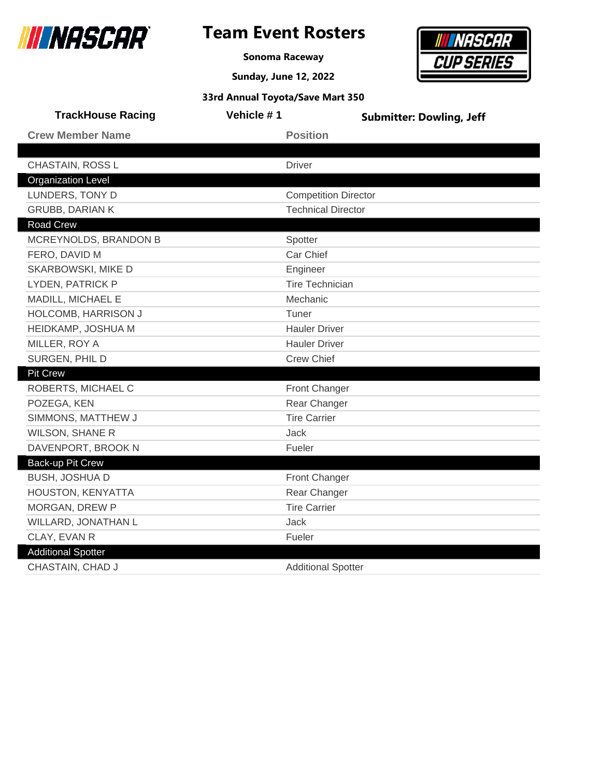

### **Team Event Rosters**

**Sonoma Raceway**



|                           | 33rd Annual Toyota/Save Mart 350 |                                 |
|---------------------------|----------------------------------|---------------------------------|
| <b>TrackHouse Racing</b>  | <b>Vehicle #1</b>                | <b>Submitter: Dowling, Jeff</b> |
| <b>Crew Member Name</b>   | <b>Position</b>                  |                                 |
|                           |                                  |                                 |
| CHASTAIN, ROSS L          | <b>Driver</b>                    |                                 |
| <b>Organization Level</b> |                                  |                                 |
| <b>I HINDEDS TONY D</b>   | Compotition Director             |                                 |

| LUNDERS, TONY D           | <b>Competition Director</b> |
|---------------------------|-----------------------------|
| <b>GRUBB, DARIAN K</b>    | <b>Technical Director</b>   |
| Road Crew                 |                             |
| MCREYNOLDS, BRANDON B     | Spotter                     |
| FERO, DAVID M             | Car Chief                   |
| SKARBOWSKI, MIKE D        | Engineer                    |
| LYDEN, PATRICK P          | <b>Tire Technician</b>      |
| MADILL, MICHAEL E         | Mechanic                    |
| HOLCOMB, HARRISON J       | Tuner                       |
| HEIDKAMP, JOSHUA M        | <b>Hauler Driver</b>        |
| MILLER, ROY A             | <b>Hauler Driver</b>        |
| SURGEN, PHIL D            | <b>Crew Chief</b>           |
| <b>Pit Crew</b>           |                             |
| ROBERTS, MICHAEL C        | <b>Front Changer</b>        |
| POZEGA, KEN               | Rear Changer                |
| SIMMONS, MATTHEW J        | <b>Tire Carrier</b>         |
| <b>WILSON, SHANE R</b>    | <b>Jack</b>                 |
| DAVENPORT, BROOK N        | Fueler                      |
| Back-up Pit Crew          |                             |
| <b>BUSH, JOSHUA D</b>     | Front Changer               |
| HOUSTON, KENYATTA         | Rear Changer                |
| <b>MORGAN, DREW P</b>     | <b>Tire Carrier</b>         |
| WILLARD, JONATHAN L       | Jack                        |
| CLAY, EVAN R              | Fueler                      |
| <b>Additional Spotter</b> |                             |
| CHASTAIN, CHAD J          | <b>Additional Spotter</b>   |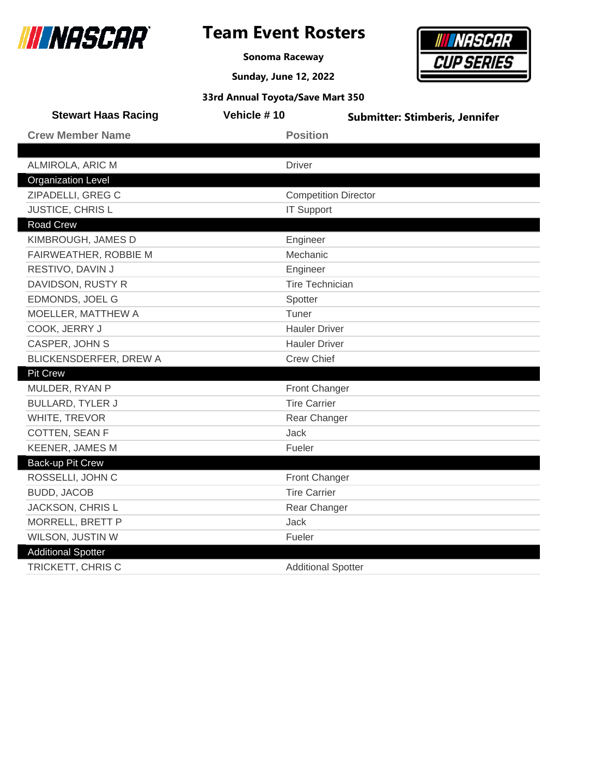

**Sonoma Raceway**

**Sunday, June 12, 2022**



| <b>Stewart Haas Racing</b> | Vehicle #10                 | <b>Submitter: Stimberis, Jennifer</b> |
|----------------------------|-----------------------------|---------------------------------------|
| <b>Crew Member Name</b>    | <b>Position</b>             |                                       |
|                            |                             |                                       |
| ALMIROLA, ARIC M           | <b>Driver</b>               |                                       |
| <b>Organization Level</b>  |                             |                                       |
| ZIPADELLI, GREG C          | <b>Competition Director</b> |                                       |
| <b>JUSTICE, CHRISL</b>     | <b>IT Support</b>           |                                       |
| <b>Road Crew</b>           |                             |                                       |
| KIMBROUGH, JAMES D         | Engineer                    |                                       |
| FAIRWEATHER, ROBBIE M      | Mechanic                    |                                       |
| RESTIVO, DAVIN J           | Engineer                    |                                       |
| DAVIDSON, RUSTY R          | <b>Tire Technician</b>      |                                       |
| EDMONDS, JOEL G            | Spotter                     |                                       |
| MOELLER, MATTHEW A         | Tuner                       |                                       |
| COOK, JERRY J              | <b>Hauler Driver</b>        |                                       |
| CASPER, JOHN S             | <b>Hauler Driver</b>        |                                       |
| BLICKENSDERFER, DREW A     | <b>Crew Chief</b>           |                                       |
| <b>Pit Crew</b>            |                             |                                       |
| MULDER, RYAN P             | Front Changer               |                                       |
| <b>BULLARD, TYLER J</b>    | <b>Tire Carrier</b>         |                                       |
| WHITE, TREVOR              | Rear Changer                |                                       |
| COTTEN, SEAN F             | Jack                        |                                       |
| <b>KEENER, JAMES M</b>     | Fueler                      |                                       |
| Back-up Pit Crew           |                             |                                       |
| ROSSELLI, JOHN C           | Front Changer               |                                       |
| <b>BUDD, JACOB</b>         | <b>Tire Carrier</b>         |                                       |
| JACKSON, CHRIS L           | Rear Changer                |                                       |
| MORRELL, BRETT P           | Jack                        |                                       |
| WILSON, JUSTIN W           | Fueler                      |                                       |
| <b>Additional Spotter</b>  |                             |                                       |
| TRICKETT, CHRIS C          | <b>Additional Spotter</b>   |                                       |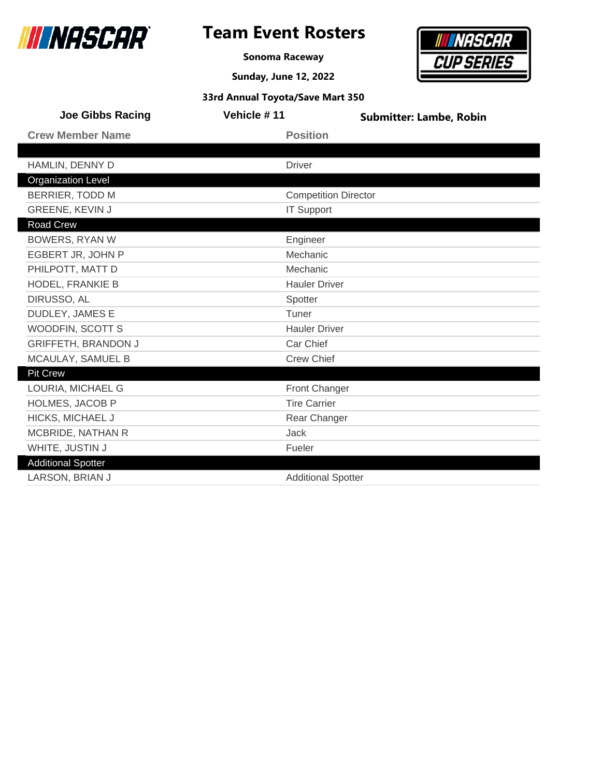

**Sonoma Raceway**

**Sunday, June 12, 2022**



| <b>Joe Gibbs Racing</b>    | Vehicle #11                 | <b>Submitter: Lambe, Robin</b> |
|----------------------------|-----------------------------|--------------------------------|
| <b>Crew Member Name</b>    | <b>Position</b>             |                                |
|                            |                             |                                |
| HAMLIN, DENNY D            | <b>Driver</b>               |                                |
| <b>Organization Level</b>  |                             |                                |
| <b>BERRIER, TODD M</b>     | <b>Competition Director</b> |                                |
| GREENE, KEVIN J            | <b>IT Support</b>           |                                |
| Road Crew                  |                             |                                |
| <b>BOWERS, RYAN W</b>      | Engineer                    |                                |
| EGBERT JR, JOHN P          | Mechanic                    |                                |
| PHILPOTT, MATT D           | Mechanic                    |                                |
| HODEL, FRANKIE B           | <b>Hauler Driver</b>        |                                |
| DIRUSSO, AL                | Spotter                     |                                |
| DUDLEY, JAMES E            | Tuner                       |                                |
| WOODFIN, SCOTT S           | <b>Hauler Driver</b>        |                                |
| <b>GRIFFETH, BRANDON J</b> | Car Chief                   |                                |
| MCAULAY, SAMUEL B          | <b>Crew Chief</b>           |                                |
| <b>Pit Crew</b>            |                             |                                |
| LOURIA, MICHAEL G          | Front Changer               |                                |
| <b>HOLMES, JACOB P</b>     | <b>Tire Carrier</b>         |                                |
| HICKS, MICHAEL J           | Rear Changer                |                                |
| MCBRIDE, NATHAN R          | Jack                        |                                |
| WHITE, JUSTIN J            | Fueler                      |                                |
| <b>Additional Spotter</b>  |                             |                                |
| LARSON, BRIAN J            | <b>Additional Spotter</b>   |                                |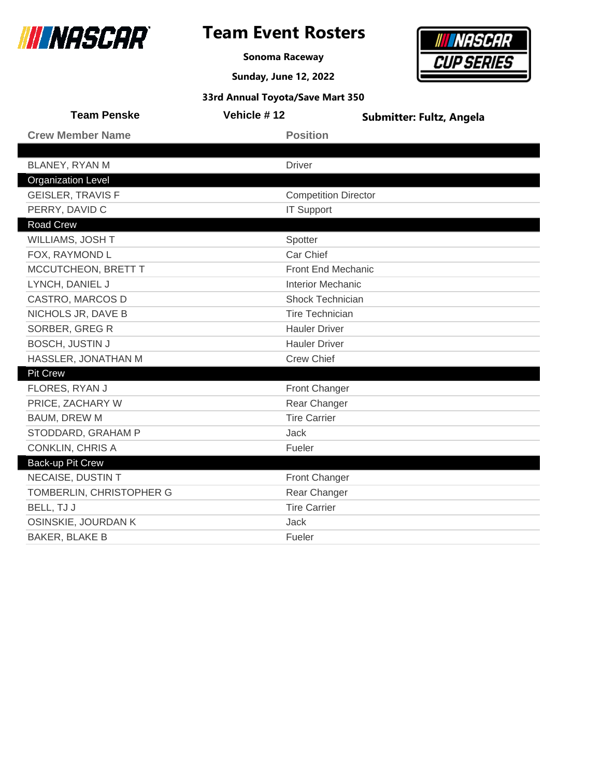

**Sonoma Raceway**



| 33rd Annual Toyota/Save Mart 350 |                             |                          |  |
|----------------------------------|-----------------------------|--------------------------|--|
| <b>Team Penske</b>               | Vehicle #12                 | Submitter: Fultz, Angela |  |
| <b>Crew Member Name</b>          | <b>Position</b>             |                          |  |
|                                  |                             |                          |  |
| BLANEY, RYAN M                   | <b>Driver</b>               |                          |  |
| <b>Organization Level</b>        |                             |                          |  |
| <b>GEISLER, TRAVIS F</b>         | <b>Competition Director</b> |                          |  |
| PERRY, DAVID C                   | <b>IT Support</b>           |                          |  |
| <b>Road Crew</b>                 |                             |                          |  |
| WILLIAMS, JOSH T                 | Spotter                     |                          |  |
| FOX, RAYMOND L                   | Car Chief                   |                          |  |
| MCCUTCHEON, BRETT T              | Front End Mechanic          |                          |  |
| LYNCH, DANIEL J                  | <b>Interior Mechanic</b>    |                          |  |
| CASTRO, MARCOS D                 | <b>Shock Technician</b>     |                          |  |
| NICHOLS JR, DAVE B               |                             | <b>Tire Technician</b>   |  |
| SORBER, GREG R                   | <b>Hauler Driver</b>        |                          |  |
| <b>BOSCH, JUSTIN J</b>           |                             | <b>Hauler Driver</b>     |  |
| HASSLER, JONATHAN M              | <b>Crew Chief</b>           |                          |  |
| <b>Pit Crew</b>                  |                             |                          |  |
| FLORES, RYAN J                   | Front Changer               |                          |  |
| PRICE, ZACHARY W                 | Rear Changer                |                          |  |
| BAUM, DREW M                     | <b>Tire Carrier</b>         |                          |  |
| STODDARD, GRAHAM P               | Jack                        |                          |  |
| <b>CONKLIN, CHRIS A</b>          | Fueler                      |                          |  |
| Back-up Pit Crew                 |                             |                          |  |
| NECAISE, DUSTIN T                | Front Changer               |                          |  |
| TOMBERLIN, CHRISTOPHER G         | Rear Changer                |                          |  |
| BELL, TJ J                       | <b>Tire Carrier</b>         |                          |  |
| OSINSKIE, JOURDAN K              | <b>Jack</b>                 |                          |  |
| <b>BAKER, BLAKE B</b>            | Fueler                      |                          |  |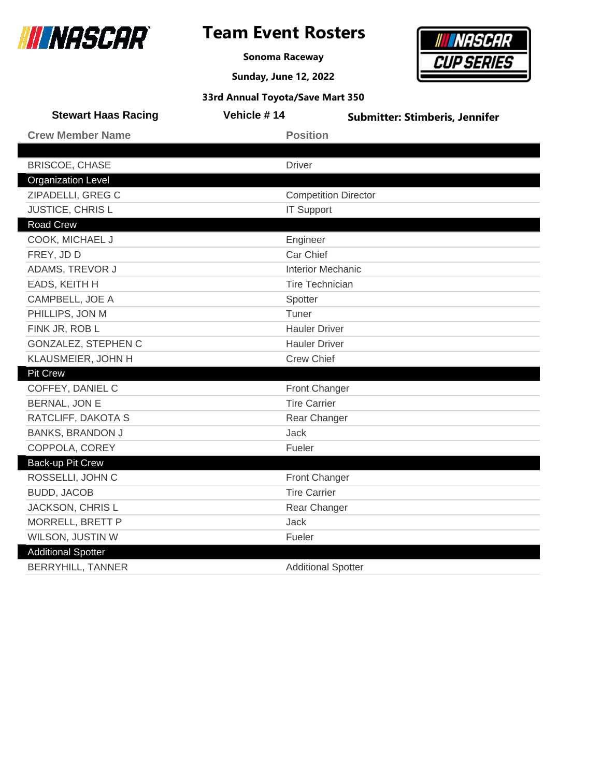

**Sonoma Raceway**

**Sunday, June 12, 2022**



| <b>Stewart Haas Racing</b> | Vehicle #14                 | <b>Submitter: Stimberis, Jennifer</b> |
|----------------------------|-----------------------------|---------------------------------------|
| <b>Crew Member Name</b>    | <b>Position</b>             |                                       |
|                            |                             |                                       |
| <b>BRISCOE, CHASE</b>      | <b>Driver</b>               |                                       |
| <b>Organization Level</b>  |                             |                                       |
| ZIPADELLI, GREG C          | <b>Competition Director</b> |                                       |
| JUSTICE, CHRIS L           | <b>IT Support</b>           |                                       |
| <b>Road Crew</b>           |                             |                                       |
| COOK, MICHAEL J            | Engineer                    |                                       |
| FREY, JD D                 | Car Chief                   |                                       |
| ADAMS, TREVOR J            | <b>Interior Mechanic</b>    |                                       |
| EADS, KEITH H              | <b>Tire Technician</b>      |                                       |
| CAMPBELL, JOE A            | Spotter                     |                                       |
| PHILLIPS, JON M            | Tuner                       |                                       |
| FINK JR, ROB L             | <b>Hauler Driver</b>        |                                       |
| GONZALEZ, STEPHEN C        | <b>Hauler Driver</b>        |                                       |
| KLAUSMEIER, JOHN H         | <b>Crew Chief</b>           |                                       |
| <b>Pit Crew</b>            |                             |                                       |
| COFFEY, DANIEL C           | Front Changer               |                                       |
| <b>BERNAL, JON E</b>       | <b>Tire Carrier</b>         |                                       |
| RATCLIFF, DAKOTA S         | Rear Changer                |                                       |
| <b>BANKS, BRANDON J</b>    | <b>Jack</b>                 |                                       |
| COPPOLA, COREY             | Fueler                      |                                       |
| <b>Back-up Pit Crew</b>    |                             |                                       |
| ROSSELLI, JOHN C           | Front Changer               |                                       |
| <b>BUDD, JACOB</b>         | <b>Tire Carrier</b>         |                                       |
| <b>JACKSON, CHRIS L</b>    | Rear Changer                |                                       |
| MORRELL, BRETT P           | Jack                        |                                       |
| WILSON, JUSTIN W           | Fueler                      |                                       |
| <b>Additional Spotter</b>  |                             |                                       |
| <b>BERRYHILL, TANNER</b>   | <b>Additional Spotter</b>   |                                       |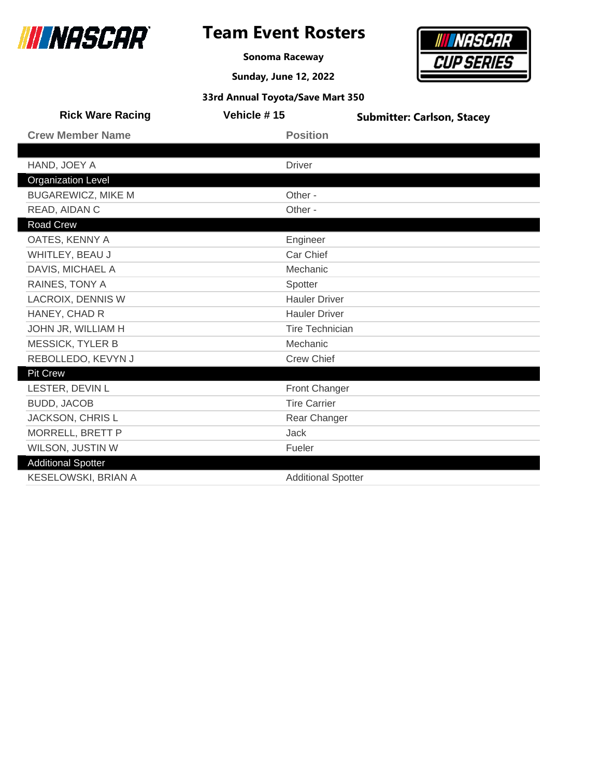

**Sonoma Raceway**

**Sunday, June 12, 2022**



| <b>Rick Ware Racing</b>   | Vehicle #15               | <b>Submitter: Carlson, Stacey</b> |
|---------------------------|---------------------------|-----------------------------------|
| <b>Crew Member Name</b>   | <b>Position</b>           |                                   |
|                           |                           |                                   |
| HAND, JOEY A              | <b>Driver</b>             |                                   |
| <b>Organization Level</b> |                           |                                   |
| <b>BUGAREWICZ, MIKE M</b> | Other -                   |                                   |
| READ, AIDAN C             | Other -                   |                                   |
| <b>Road Crew</b>          |                           |                                   |
| OATES, KENNY A            | Engineer                  |                                   |
| WHITLEY, BEAU J           | Car Chief                 |                                   |
| DAVIS, MICHAEL A          | Mechanic                  |                                   |
| RAINES, TONY A            | Spotter                   |                                   |
| <b>LACROIX, DENNIS W</b>  | <b>Hauler Driver</b>      |                                   |
| HANEY, CHAD R             | <b>Hauler Driver</b>      |                                   |
| JOHN JR, WILLIAM H        | <b>Tire Technician</b>    |                                   |
| <b>MESSICK, TYLER B</b>   | Mechanic                  |                                   |
| REBOLLEDO, KEVYN J        | <b>Crew Chief</b>         |                                   |
| <b>Pit Crew</b>           |                           |                                   |
| LESTER, DEVIN L           | <b>Front Changer</b>      |                                   |
| <b>BUDD, JACOB</b>        | <b>Tire Carrier</b>       |                                   |
| JACKSON, CHRIS L          | Rear Changer              |                                   |
| MORRELL, BRETT P          | Jack                      |                                   |
| WILSON, JUSTIN W          | Fueler                    |                                   |
| <b>Additional Spotter</b> |                           |                                   |
| KESELOWSKI, BRIAN A       | <b>Additional Spotter</b> |                                   |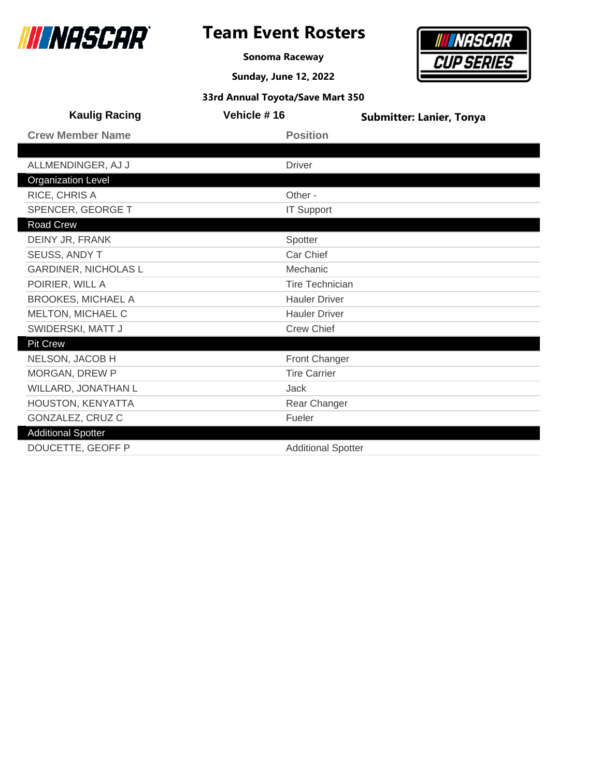

**Sonoma Raceway**

**Sunday, June 12, 2022**



| <b>Kaulig Racing</b>        | Vehicle #16               | <b>Submitter: Lanier, Tonya</b> |
|-----------------------------|---------------------------|---------------------------------|
| <b>Crew Member Name</b>     | <b>Position</b>           |                                 |
|                             |                           |                                 |
| ALLMENDINGER, AJ J          | <b>Driver</b>             |                                 |
| <b>Organization Level</b>   |                           |                                 |
| RICE, CHRIS A               | Other -                   |                                 |
| SPENCER, GEORGE T           | <b>IT Support</b>         |                                 |
| Road Crew                   |                           |                                 |
| DEINY JR, FRANK             | Spotter                   |                                 |
| SEUSS, ANDY T               | Car Chief                 |                                 |
| <b>GARDINER, NICHOLAS L</b> | Mechanic                  |                                 |
| POIRIER, WILL A             | <b>Tire Technician</b>    |                                 |
| <b>BROOKES, MICHAEL A</b>   | <b>Hauler Driver</b>      |                                 |
| MELTON, MICHAEL C           | <b>Hauler Driver</b>      |                                 |
| SWIDERSKI, MATT J           | <b>Crew Chief</b>         |                                 |
| <b>Pit Crew</b>             |                           |                                 |
| NELSON, JACOB H             | <b>Front Changer</b>      |                                 |
| MORGAN, DREW P              | <b>Tire Carrier</b>       |                                 |
| WILLARD, JONATHAN L         | Jack                      |                                 |
| HOUSTON, KENYATTA           | Rear Changer              |                                 |
| GONZALEZ, CRUZ C            | Fueler                    |                                 |
| <b>Additional Spotter</b>   |                           |                                 |
| DOUCETTE, GEOFF P           | <b>Additional Spotter</b> |                                 |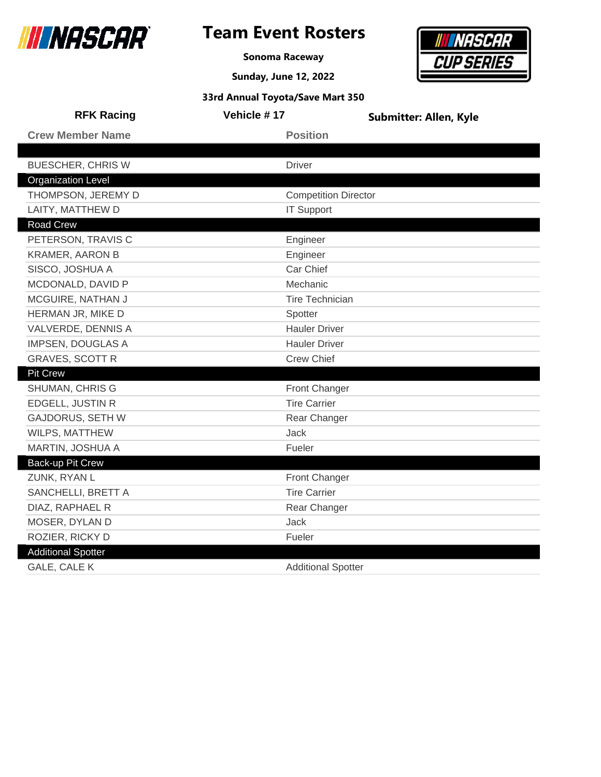

# **Team Event Rosters**

**Sonoma Raceway**

**Sunday, June 12, 2022**

# *INASCAR* **CUP SERIES**

| 33rd Annual Toyota/Save Mart 350 |                             |                               |  |
|----------------------------------|-----------------------------|-------------------------------|--|
| <b>RFK Racing</b>                | Vehicle #17                 | <b>Submitter: Allen, Kyle</b> |  |
| <b>Crew Member Name</b>          | <b>Position</b>             |                               |  |
|                                  |                             |                               |  |
| <b>BUESCHER, CHRIS W</b>         | <b>Driver</b>               |                               |  |
| <b>Organization Level</b>        |                             |                               |  |
| THOMPSON, JEREMY D               | <b>Competition Director</b> |                               |  |
| LAITY, MATTHEW D                 | <b>IT Support</b>           |                               |  |
| <b>Road Crew</b>                 |                             |                               |  |
| PETERSON, TRAVIS C               | Engineer                    |                               |  |
| <b>KRAMER, AARON B</b>           | Engineer                    |                               |  |
| SISCO, JOSHUA A                  | Car Chief                   |                               |  |
| MCDONALD, DAVID P                | Mechanic                    |                               |  |
| MCGUIRE, NATHAN J                | <b>Tire Technician</b>      |                               |  |
| HERMAN JR, MIKE D                | Spotter                     |                               |  |
| VALVERDE, DENNIS A               | <b>Hauler Driver</b>        |                               |  |
| <b>IMPSEN, DOUGLAS A</b>         | <b>Hauler Driver</b>        |                               |  |
| <b>GRAVES, SCOTT R</b>           | <b>Crew Chief</b>           |                               |  |
| <b>Pit Crew</b>                  |                             |                               |  |
| SHUMAN, CHRIS G                  | Front Changer               |                               |  |
| EDGELL, JUSTIN R                 | <b>Tire Carrier</b>         |                               |  |
| <b>GAJDORUS, SETH W</b>          | Rear Changer                |                               |  |
| WILPS, MATTHEW                   | Jack                        |                               |  |
| MARTIN, JOSHUA A                 | Fueler                      |                               |  |
| Back-up Pit Crew                 |                             |                               |  |
| ZUNK, RYAN L                     | Front Changer               |                               |  |
| SANCHELLI, BRETT A               | <b>Tire Carrier</b>         |                               |  |
| DIAZ, RAPHAEL R                  | Rear Changer                |                               |  |
| MOSER, DYLAN D                   | Jack                        |                               |  |
| ROZIER, RICKY D                  | Fueler                      |                               |  |
| <b>Additional Spotter</b>        |                             |                               |  |
| <b>GALE, CALE K</b>              | <b>Additional Spotter</b>   |                               |  |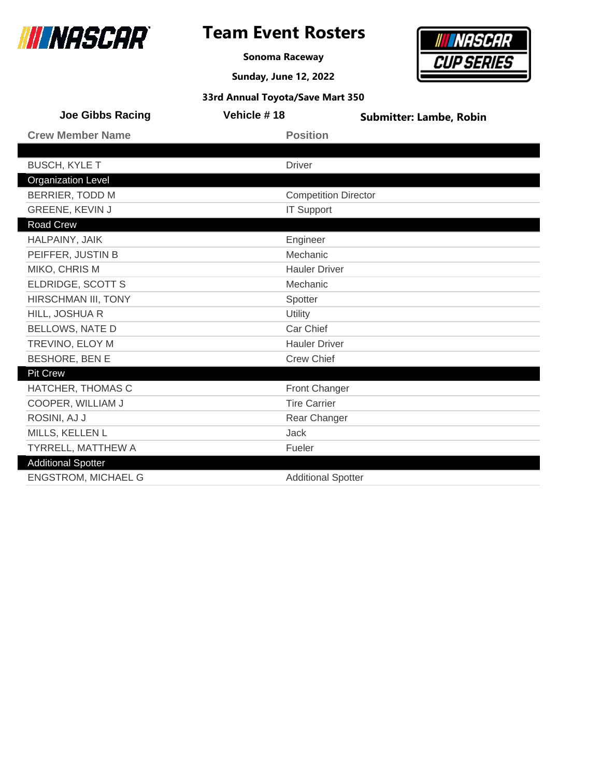

**Sonoma Raceway**

**Sunday, June 12, 2022**



| <b>Joe Gibbs Racing</b>    | Vehicle #18                 | <b>Submitter: Lambe, Robin</b> |
|----------------------------|-----------------------------|--------------------------------|
| <b>Crew Member Name</b>    | <b>Position</b>             |                                |
|                            |                             |                                |
| <b>BUSCH, KYLE T</b>       | <b>Driver</b>               |                                |
| <b>Organization Level</b>  |                             |                                |
| <b>BERRIER, TODD M</b>     | <b>Competition Director</b> |                                |
| <b>GREENE, KEVIN J</b>     | <b>IT Support</b>           |                                |
| <b>Road Crew</b>           |                             |                                |
| HALPAINY, JAIK             | Engineer                    |                                |
| PEIFFER, JUSTIN B          | Mechanic                    |                                |
| MIKO, CHRIS M              | <b>Hauler Driver</b>        |                                |
| ELDRIDGE, SCOTT S          | Mechanic                    |                                |
| HIRSCHMAN III, TONY        | Spotter                     |                                |
| HILL, JOSHUA R             | Utility                     |                                |
| <b>BELLOWS, NATE D</b>     | Car Chief                   |                                |
| TREVINO, ELOY M            | <b>Hauler Driver</b>        |                                |
| <b>BESHORE, BEN E</b>      | <b>Crew Chief</b>           |                                |
| <b>Pit Crew</b>            |                             |                                |
| HATCHER, THOMAS C          | <b>Front Changer</b>        |                                |
| COOPER, WILLIAM J          | <b>Tire Carrier</b>         |                                |
| ROSINI, AJ J               | Rear Changer                |                                |
| MILLS, KELLEN L            | <b>Jack</b>                 |                                |
| TYRRELL, MATTHEW A         | Fueler                      |                                |
| <b>Additional Spotter</b>  |                             |                                |
| <b>ENGSTROM, MICHAEL G</b> | <b>Additional Spotter</b>   |                                |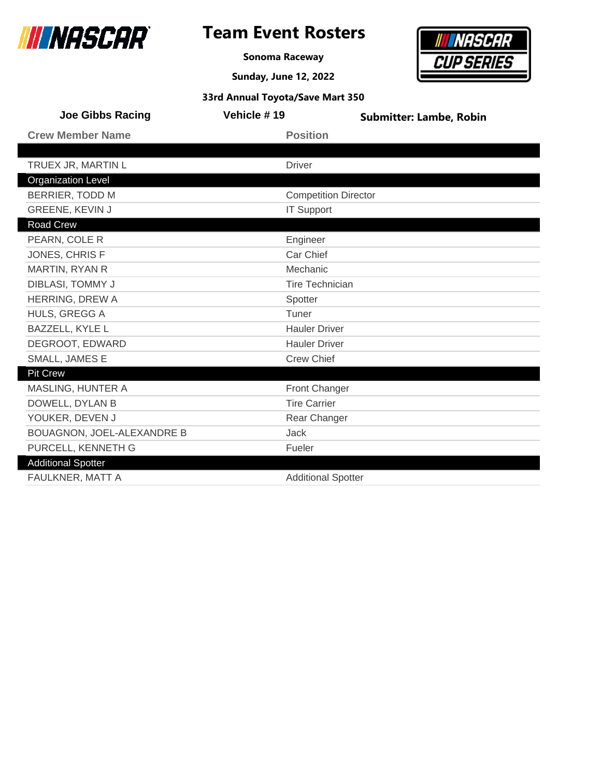

**Sonoma Raceway**

**Sunday, June 12, 2022**



| <b>Joe Gibbs Racing</b>           | Vehicle #19   | <b>Submitter: Lambe, Robin</b> |
|-----------------------------------|---------------|--------------------------------|
| <b>Crew Member Name</b>           |               | <b>Position</b>                |
|                                   |               |                                |
| TRUEX JR, MARTIN L                | <b>Driver</b> |                                |
| <b>Organization Level</b>         |               |                                |
| <b>BERRIER, TODD M</b>            |               | <b>Competition Director</b>    |
| <b>GREENE, KEVIN J</b>            |               | <b>IT Support</b>              |
| Road Crew                         |               |                                |
| PEARN, COLE R                     |               | Engineer                       |
| JONES, CHRIS F                    |               | Car Chief                      |
| MARTIN, RYAN R                    |               | Mechanic                       |
| DIBLASI, TOMMY J                  |               | <b>Tire Technician</b>         |
| <b>HERRING, DREW A</b>            | Spotter       |                                |
| HULS, GREGG A                     | Tuner         |                                |
| <b>BAZZELL, KYLE L</b>            |               | <b>Hauler Driver</b>           |
| DEGROOT, EDWARD                   |               | <b>Hauler Driver</b>           |
| SMALL, JAMES E                    |               | <b>Crew Chief</b>              |
| Pit Crew                          |               |                                |
| MASLING, HUNTER A                 |               | <b>Front Changer</b>           |
| DOWELL, DYLAN B                   |               | <b>Tire Carrier</b>            |
| YOUKER, DEVEN J                   |               | Rear Changer                   |
| <b>BOUAGNON, JOEL-ALEXANDRE B</b> | <b>Jack</b>   |                                |
| PURCELL, KENNETH G                | Fueler        |                                |
| <b>Additional Spotter</b>         |               |                                |
| FAULKNER, MATT A                  |               | <b>Additional Spotter</b>      |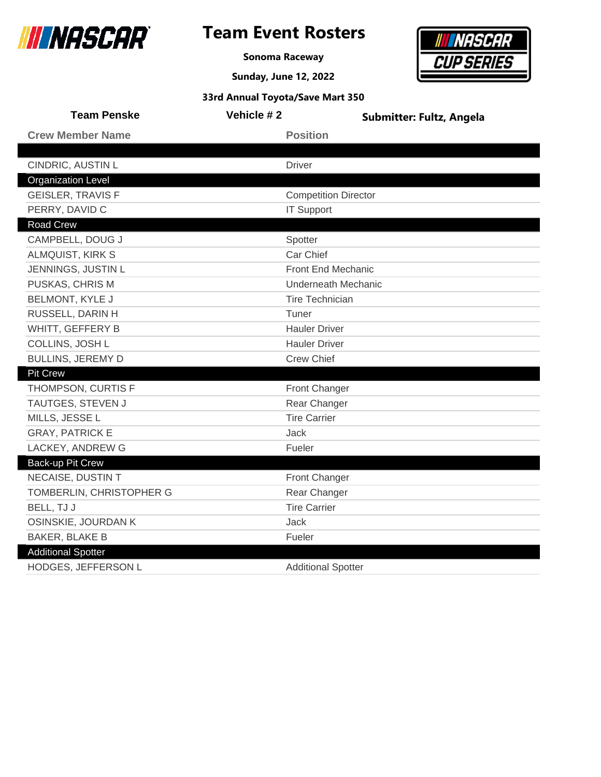

### **Team Event Rosters**

**Sonoma Raceway**

**Sunday, June 12, 2022**



| <b>Team Penske</b>        | Vehicle #2 | <b>Submitter: Fultz, Angela</b> |
|---------------------------|------------|---------------------------------|
| <b>Crew Member Name</b>   |            | <b>Position</b>                 |
|                           |            |                                 |
| CINDRIC, AUSTIN L         |            | <b>Driver</b>                   |
| <b>Organization Level</b> |            |                                 |
| <b>GEISLER, TRAVIS F</b>  |            | <b>Competition Director</b>     |
| PERRY, DAVID C            |            | <b>IT Support</b>               |
| <b>Road Crew</b>          |            |                                 |
| CAMPBELL, DOUG J          |            | Spotter                         |
| <b>ALMQUIST, KIRK S</b>   |            | Car Chief                       |
| JENNINGS, JUSTIN L        |            | Front End Mechanic              |
| PUSKAS, CHRIS M           |            | <b>Underneath Mechanic</b>      |
| <b>BELMONT, KYLE J</b>    |            | <b>Tire Technician</b>          |
| RUSSELL, DARIN H          |            | Tuner                           |
| WHITT, GEFFERY B          |            | <b>Hauler Driver</b>            |
| COLLINS, JOSH L           |            | <b>Hauler Driver</b>            |
| <b>BULLINS, JEREMY D</b>  |            | <b>Crew Chief</b>               |
| <b>Pit Crew</b>           |            |                                 |
| THOMPSON, CURTIS F        |            | Front Changer                   |
| TAUTGES, STEVEN J         |            | Rear Changer                    |
| MILLS, JESSE L            |            | <b>Tire Carrier</b>             |
| <b>GRAY, PATRICK E</b>    |            | Jack                            |
| LACKEY, ANDREW G          |            | Fueler                          |
| Back-up Pit Crew          |            |                                 |
| NECAISE, DUSTIN T         |            | Front Changer                   |
| TOMBERLIN, CHRISTOPHER G  |            | Rear Changer                    |
| BELL, TJ J                |            | <b>Tire Carrier</b>             |
| OSINSKIE, JOURDAN K       |            | <b>Jack</b>                     |
| <b>BAKER, BLAKE B</b>     |            | Fueler                          |
| <b>Additional Spotter</b> |            |                                 |
| HODGES, JEFFERSON L       |            | <b>Additional Spotter</b>       |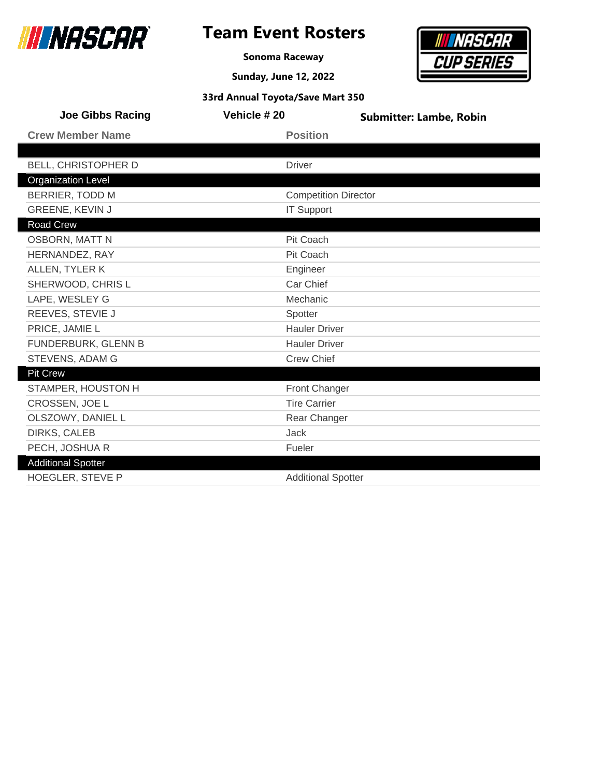

г

### **Team Event Rosters**

**Sonoma Raceway**

**Sunday, June 12, 2022**



| <b>Joe Gibbs Racing</b>   | Vehicle #20                 | <b>Submitter: Lambe, Robin</b> |
|---------------------------|-----------------------------|--------------------------------|
| <b>Crew Member Name</b>   | <b>Position</b>             |                                |
|                           |                             |                                |
| BELL, CHRISTOPHER D       | <b>Driver</b>               |                                |
| <b>Organization Level</b> |                             |                                |
| <b>BERRIER, TODD M</b>    | <b>Competition Director</b> |                                |
| GREENE, KEVIN J           | <b>IT Support</b>           |                                |
| Road Crew                 |                             |                                |
| <b>OSBORN, MATT N</b>     | Pit Coach                   |                                |
| HERNANDEZ, RAY            | Pit Coach                   |                                |
| ALLEN, TYLER K            | Engineer                    |                                |
| SHERWOOD, CHRIS L         | Car Chief                   |                                |
| LAPE, WESLEY G            | Mechanic                    |                                |
| REEVES, STEVIE J          | Spotter                     |                                |
| PRICE, JAMIE L            | <b>Hauler Driver</b>        |                                |
| FUNDERBURK, GLENN B       | <b>Hauler Driver</b>        |                                |
| STEVENS, ADAM G           | <b>Crew Chief</b>           |                                |
| <b>Pit Crew</b>           |                             |                                |
| STAMPER, HOUSTON H        | <b>Front Changer</b>        |                                |
| CROSSEN, JOE L            | <b>Tire Carrier</b>         |                                |
| OLSZOWY, DANIEL L         | Rear Changer                |                                |
| <b>DIRKS, CALEB</b>       | Jack                        |                                |
| PECH, JOSHUA R            | Fueler                      |                                |
| <b>Additional Spotter</b> |                             |                                |
| HOEGLER, STEVE P          | <b>Additional Spotter</b>   |                                |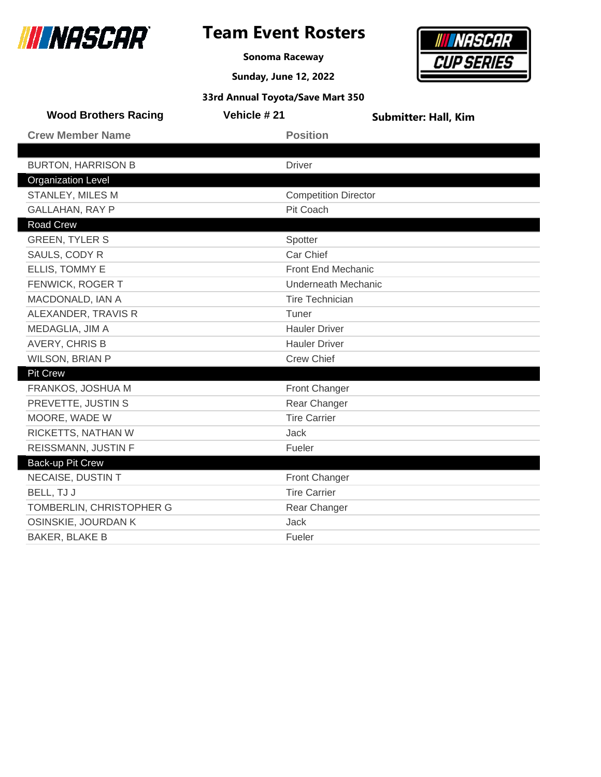

**Sonoma Raceway**



| 33rd Annual Toyota/Save Mart 350 |                             |                             |  |
|----------------------------------|-----------------------------|-----------------------------|--|
| <b>Wood Brothers Racing</b>      | Vehicle #21                 | <b>Submitter: Hall, Kim</b> |  |
| <b>Crew Member Name</b>          | <b>Position</b>             |                             |  |
|                                  |                             |                             |  |
| <b>BURTON, HARRISON B</b>        | <b>Driver</b>               |                             |  |
| <b>Organization Level</b>        |                             |                             |  |
| STANLEY, MILES M                 | <b>Competition Director</b> |                             |  |
| <b>GALLAHAN, RAY P</b>           | Pit Coach                   |                             |  |
| <b>Road Crew</b>                 |                             |                             |  |
| <b>GREEN, TYLER S</b>            | Spotter                     |                             |  |
| SAULS, CODY R                    | Car Chief                   |                             |  |
| ELLIS, TOMMY E                   | Front End Mechanic          |                             |  |
| FENWICK, ROGER T                 |                             | Underneath Mechanic         |  |
| MACDONALD, IAN A                 |                             | <b>Tire Technician</b>      |  |
| ALEXANDER, TRAVIS R              | Tuner                       |                             |  |
| MEDAGLIA, JIM A                  | <b>Hauler Driver</b>        |                             |  |
| AVERY, CHRIS B                   | <b>Hauler Driver</b>        |                             |  |
| WILSON, BRIAN P                  | <b>Crew Chief</b>           |                             |  |
| <b>Pit Crew</b>                  |                             |                             |  |
| FRANKOS, JOSHUA M                | <b>Front Changer</b>        |                             |  |
| PREVETTE, JUSTIN S               | Rear Changer                |                             |  |
| MOORE, WADE W                    | <b>Tire Carrier</b>         |                             |  |
| RICKETTS, NATHAN W               | <b>Jack</b>                 |                             |  |
| REISSMANN, JUSTIN F              | Fueler                      |                             |  |
| Back-up Pit Crew                 |                             |                             |  |
| NECAISE, DUSTIN T                | Front Changer               |                             |  |
| BELL, TJ J                       | <b>Tire Carrier</b>         |                             |  |
| TOMBERLIN, CHRISTOPHER G         | Rear Changer                |                             |  |
| OSINSKIE, JOURDAN K              | <b>Jack</b>                 |                             |  |
| <b>BAKER, BLAKE B</b>            | Fueler                      |                             |  |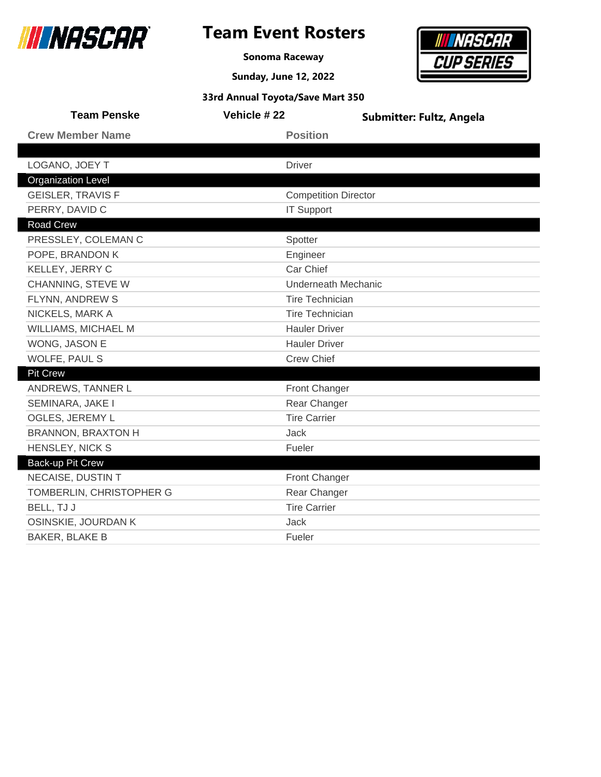

Back-up Pit Crew

#### **Team Event Rosters**

**Sonoma Raceway**

**Sunday, June 12, 2022**

**33rd Annual Toyota/Save Mart 350**



| <b>Team Penske</b>        | Vehicle #22                 | <b>Submitter: Fultz, Angela</b> |
|---------------------------|-----------------------------|---------------------------------|
| <b>Crew Member Name</b>   | <b>Position</b>             |                                 |
|                           |                             |                                 |
| LOGANO, JOEY T            | <b>Driver</b>               |                                 |
| <b>Organization Level</b> |                             |                                 |
| <b>GEISLER, TRAVIS F</b>  | <b>Competition Director</b> |                                 |
| PERRY, DAVID C            | <b>IT Support</b>           |                                 |
| <b>Road Crew</b>          |                             |                                 |
| PRESSLEY, COLEMAN C       | Spotter                     |                                 |
| POPE, BRANDON K           | Engineer                    |                                 |
| KELLEY, JERRY C           | Car Chief                   |                                 |
| CHANNING, STEVE W         | Underneath Mechanic         |                                 |
| FLYNN, ANDREW S           | <b>Tire Technician</b>      |                                 |
| NICKELS, MARK A           | <b>Tire Technician</b>      |                                 |
| WILLIAMS, MICHAEL M       | <b>Hauler Driver</b>        |                                 |
| WONG, JASON E             | <b>Hauler Driver</b>        |                                 |
| WOLFE, PAUL S             | <b>Crew Chief</b>           |                                 |
| <b>Pit Crew</b>           |                             |                                 |
| ANDREWS, TANNER L         | Front Changer               |                                 |
| SEMINARA, JAKE I          | Rear Changer                |                                 |
| OGLES, JEREMY L           | <b>Tire Carrier</b>         |                                 |
| <b>BRANNON, BRAXTON H</b> | Jack                        |                                 |

HENSLEY, NICK S<br>
Fueler

OSINSKIE, JOURDAN K Jack BAKER, BLAKE B Fueler

NECAISE, DUSTIN T **Front Changer** TOMBERLIN, CHRISTOPHER G Rear Changer BELL, TJ J Tire Carrier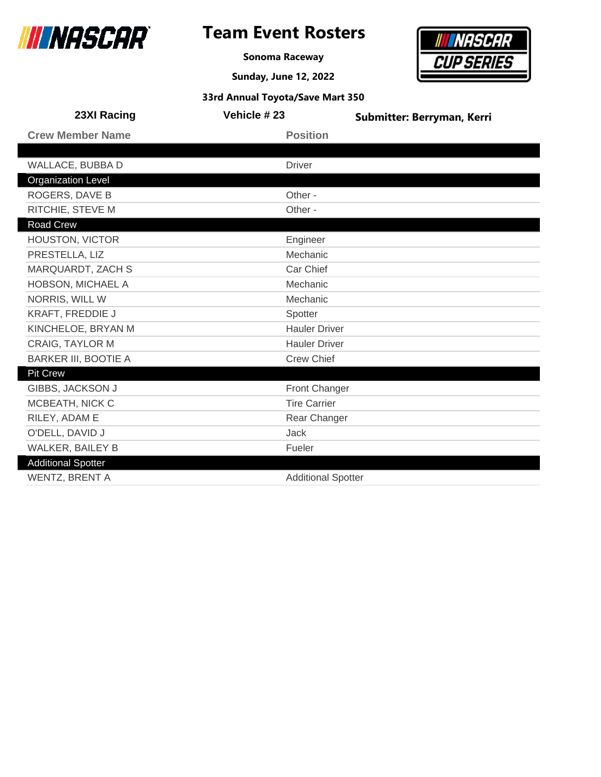

**Sonoma Raceway**

**Sunday, June 12, 2022**



| 23XI Racing                 | Vehicle #23               | Submitter: Berryman, Kerri |
|-----------------------------|---------------------------|----------------------------|
| <b>Crew Member Name</b>     | <b>Position</b>           |                            |
|                             |                           |                            |
| WALLACE, BUBBA D            | <b>Driver</b>             |                            |
| <b>Organization Level</b>   |                           |                            |
| <b>ROGERS, DAVE B</b>       | Other -                   |                            |
| RITCHIE, STEVE M            | Other -                   |                            |
| Road Crew                   |                           |                            |
| <b>HOUSTON, VICTOR</b>      | Engineer                  |                            |
| PRESTELLA, LIZ              | Mechanic                  |                            |
| MARQUARDT, ZACH S           | Car Chief                 |                            |
| HOBSON, MICHAEL A           | Mechanic                  |                            |
| NORRIS, WILL W              | Mechanic                  |                            |
| <b>KRAFT, FREDDIE J</b>     | Spotter                   |                            |
| KINCHELOE, BRYAN M          | <b>Hauler Driver</b>      |                            |
| CRAIG, TAYLOR M             | <b>Hauler Driver</b>      |                            |
| <b>BARKER III, BOOTIE A</b> | <b>Crew Chief</b>         |                            |
| Pit Crew                    |                           |                            |
| GIBBS, JACKSON J            | <b>Front Changer</b>      |                            |
| MCBEATH, NICK C             | <b>Tire Carrier</b>       |                            |
| RILEY, ADAM E               | Rear Changer              |                            |
| O'DELL, DAVID J             | <b>Jack</b>               |                            |
| <b>WALKER, BAILEY B</b>     | Fueler                    |                            |
| <b>Additional Spotter</b>   |                           |                            |
| <b>WENTZ, BRENT A</b>       | <b>Additional Spotter</b> |                            |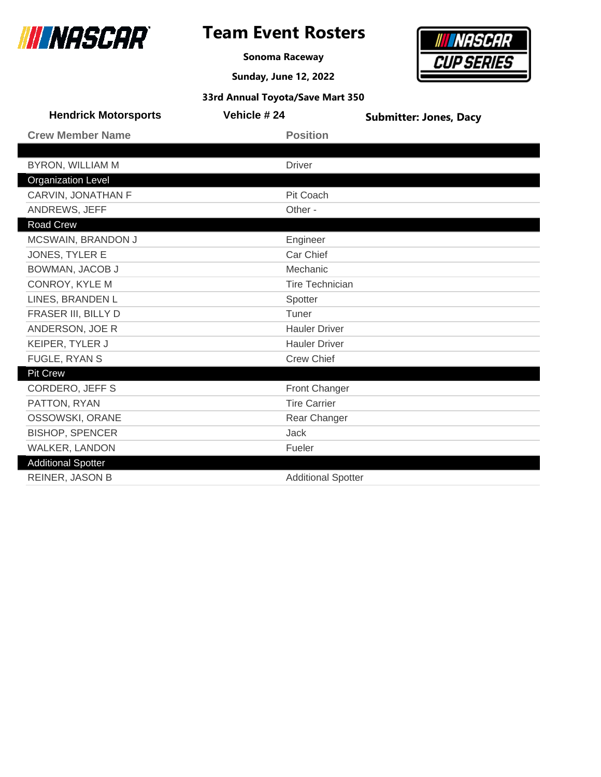

### **Team Event Rosters**

**Sonoma Raceway**



|  | 33rd Annual Toyota/Save Mart 350 |  |  |
|--|----------------------------------|--|--|
|--|----------------------------------|--|--|

| <b>Hendrick Motorsports</b> | Vehicle #24               | <b>Submitter: Jones, Dacy</b> |
|-----------------------------|---------------------------|-------------------------------|
| <b>Crew Member Name</b>     | <b>Position</b>           |                               |
|                             |                           |                               |
| <b>BYRON, WILLIAM M</b>     | <b>Driver</b>             |                               |
| <b>Organization Level</b>   |                           |                               |
| CARVIN, JONATHAN F          | Pit Coach                 |                               |
| ANDREWS, JEFF               | Other -                   |                               |
| Road Crew                   |                           |                               |
| MCSWAIN, BRANDON J          | Engineer                  |                               |
| JONES, TYLER E              | Car Chief                 |                               |
| BOWMAN, JACOB J             | Mechanic                  |                               |
| CONROY, KYLE M              | <b>Tire Technician</b>    |                               |
| LINES, BRANDEN L            | Spotter                   |                               |
| FRASER III, BILLY D         | Tuner                     |                               |
| ANDERSON, JOE R             | <b>Hauler Driver</b>      |                               |
| KEIPER, TYLER J             | <b>Hauler Driver</b>      |                               |
| FUGLE, RYAN S               | <b>Crew Chief</b>         |                               |
| <b>Pit Crew</b>             |                           |                               |
| <b>CORDERO, JEFF S</b>      | <b>Front Changer</b>      |                               |
| PATTON, RYAN                | <b>Tire Carrier</b>       |                               |
| OSSOWSKI, ORANE             | Rear Changer              |                               |
| <b>BISHOP, SPENCER</b>      | <b>Jack</b>               |                               |
| WALKER, LANDON              | Fueler                    |                               |
| <b>Additional Spotter</b>   |                           |                               |
| <b>REINER, JASON B</b>      | <b>Additional Spotter</b> |                               |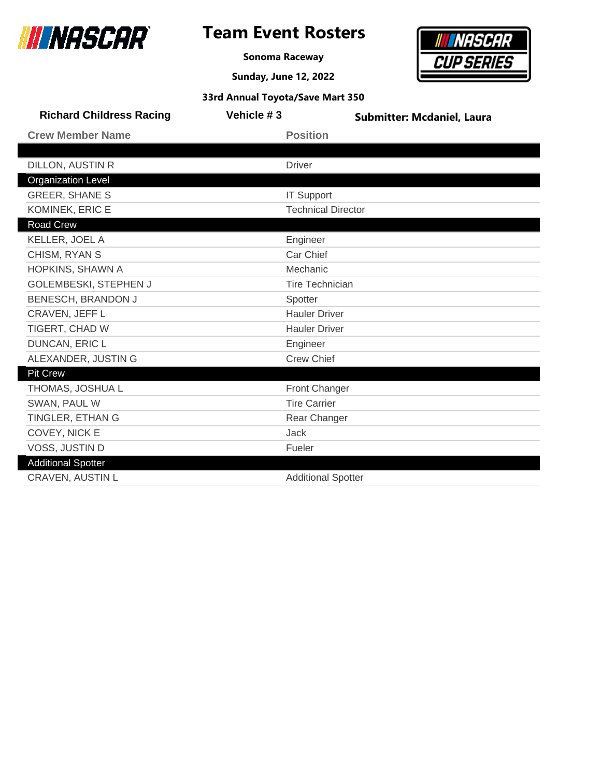

L

Г

# **Team Event Rosters**

**Sonoma Raceway**

**Sunday, June 12, 2022**



| <b>Richard Childress Racing</b> | Vehicle #3 | <b>Submitter: Mcdaniel, Laura</b> |
|---------------------------------|------------|-----------------------------------|
| <b>Crew Member Name</b>         |            | <b>Position</b>                   |
|                                 |            |                                   |
| <b>DILLON, AUSTIN R</b>         |            | <b>Driver</b>                     |
| <b>Organization Level</b>       |            |                                   |
| <b>GREER, SHANE S</b>           |            | <b>IT Support</b>                 |
| KOMINEK, ERIC E                 |            | <b>Technical Director</b>         |
| <b>Road Crew</b>                |            |                                   |
| KELLER, JOEL A                  |            | Engineer                          |
| CHISM, RYAN S                   |            | Car Chief                         |
| HOPKINS, SHAWN A                |            | Mechanic                          |
| GOLEMBESKI, STEPHEN J           |            | <b>Tire Technician</b>            |
| BENESCH, BRANDON J              |            | Spotter                           |
| CRAVEN, JEFF L                  |            | <b>Hauler Driver</b>              |
| TIGERT, CHAD W                  |            | <b>Hauler Driver</b>              |
| DUNCAN, ERIC L                  |            | Engineer                          |
| ALEXANDER, JUSTIN G             |            | <b>Crew Chief</b>                 |
| <b>Pit Crew</b>                 |            |                                   |
| THOMAS, JOSHUA L                |            | Front Changer                     |
| SWAN, PAUL W                    |            | <b>Tire Carrier</b>               |
| TINGLER, ETHAN G                |            | Rear Changer                      |
| COVEY, NICK E                   |            | Jack                              |
| VOSS, JUSTIN D                  |            | Fueler                            |
| <b>Additional Spotter</b>       |            |                                   |
| <b>CRAVEN, AUSTIN L</b>         |            | <b>Additional Spotter</b>         |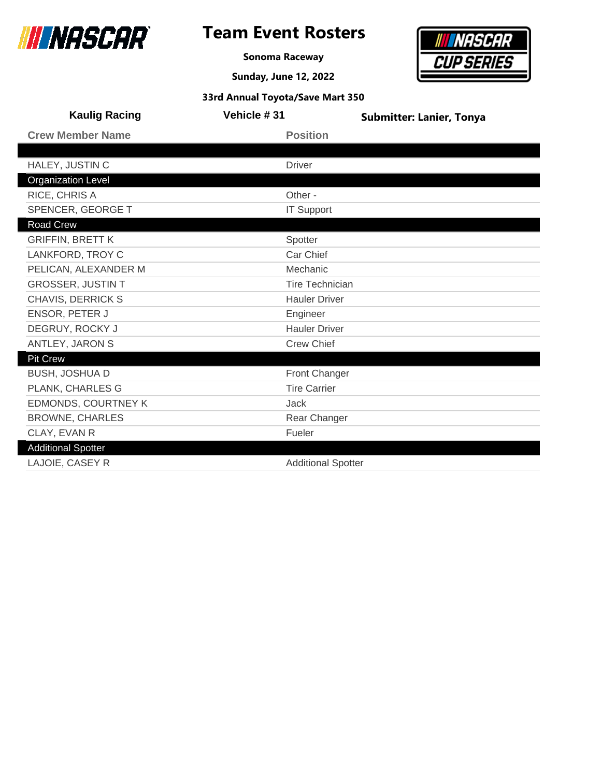

**Sonoma Raceway**

**Sunday, June 12, 2022**



| <b>Kaulig Racing</b>      | Vehicle #31         | <b>Submitter: Lanier, Tonya</b> |
|---------------------------|---------------------|---------------------------------|
| <b>Crew Member Name</b>   | <b>Position</b>     |                                 |
|                           |                     |                                 |
| HALEY, JUSTIN C           | <b>Driver</b>       |                                 |
| <b>Organization Level</b> |                     |                                 |
| RICE, CHRIS A             | Other -             |                                 |
| SPENCER, GEORGE T         | <b>IT Support</b>   |                                 |
| Road Crew                 |                     |                                 |
| <b>GRIFFIN, BRETT K</b>   | Spotter             |                                 |
| LANKFORD, TROY C          | Car Chief           |                                 |
| PELICAN, ALEXANDER M      | Mechanic            |                                 |
| <b>GROSSER, JUSTIN T</b>  |                     | <b>Tire Technician</b>          |
| CHAVIS, DERRICK S         |                     | <b>Hauler Driver</b>            |
| ENSOR, PETER J            | Engineer            |                                 |
| DEGRUY, ROCKY J           |                     | <b>Hauler Driver</b>            |
| ANTLEY, JARON S           | <b>Crew Chief</b>   |                                 |
| <b>Pit Crew</b>           |                     |                                 |
| BUSH, JOSHUA D            |                     | Front Changer                   |
| PLANK, CHARLES G          | <b>Tire Carrier</b> |                                 |
| EDMONDS, COURTNEY K       | <b>Jack</b>         |                                 |
| <b>BROWNE, CHARLES</b>    |                     | Rear Changer                    |
| CLAY, EVAN R              | Fueler              |                                 |
| <b>Additional Spotter</b> |                     |                                 |
| <b>LAJOIE, CASEY R</b>    |                     | <b>Additional Spotter</b>       |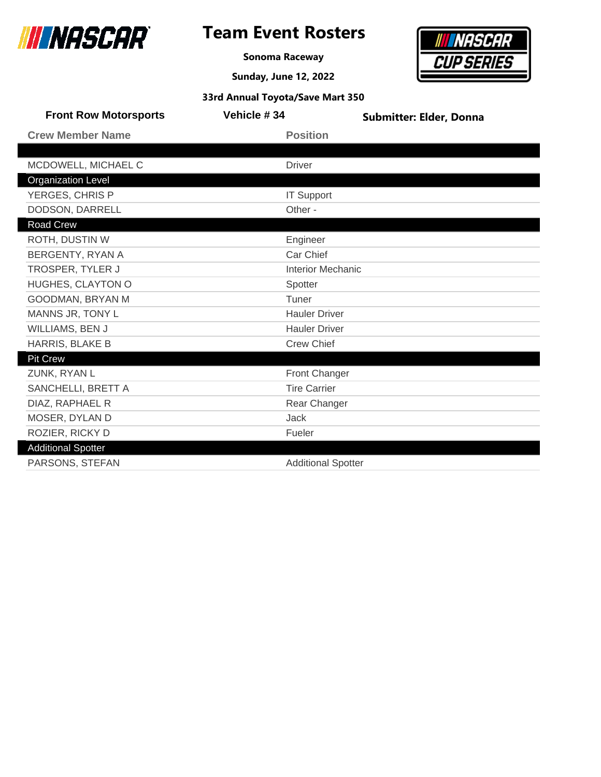

### **Team Event Rosters**

**Sonoma Raceway**



| 33rd Annual Toyota/Save Mart 350 |  |  |  |
|----------------------------------|--|--|--|
|----------------------------------|--|--|--|

| <b>Front Row Motorsports</b> | Vehicle #34               | <b>Submitter: Elder, Donna</b> |
|------------------------------|---------------------------|--------------------------------|
| <b>Crew Member Name</b>      | <b>Position</b>           |                                |
|                              |                           |                                |
| MCDOWELL, MICHAEL C          | <b>Driver</b>             |                                |
| <b>Organization Level</b>    |                           |                                |
| YERGES, CHRIS P              | <b>IT Support</b>         |                                |
| DODSON, DARRELL              | Other -                   |                                |
| Road Crew                    |                           |                                |
| ROTH, DUSTIN W               | Engineer                  |                                |
| BERGENTY, RYAN A             | Car Chief                 |                                |
| TROSPER, TYLER J             | <b>Interior Mechanic</b>  |                                |
| HUGHES, CLAYTON O            | Spotter                   |                                |
| GOODMAN, BRYAN M             | Tuner                     |                                |
| MANNS JR, TONY L             | <b>Hauler Driver</b>      |                                |
| WILLIAMS, BEN J              | <b>Hauler Driver</b>      |                                |
| HARRIS, BLAKE B              | <b>Crew Chief</b>         |                                |
| <b>Pit Crew</b>              |                           |                                |
| ZUNK, RYAN L                 | Front Changer             |                                |
| SANCHELLI, BRETT A           | <b>Tire Carrier</b>       |                                |
| DIAZ, RAPHAEL R              | Rear Changer              |                                |
| MOSER, DYLAN D               | Jack                      |                                |
| ROZIER, RICKY D              | Fueler                    |                                |
| <b>Additional Spotter</b>    |                           |                                |
| PARSONS, STEFAN              | <b>Additional Spotter</b> |                                |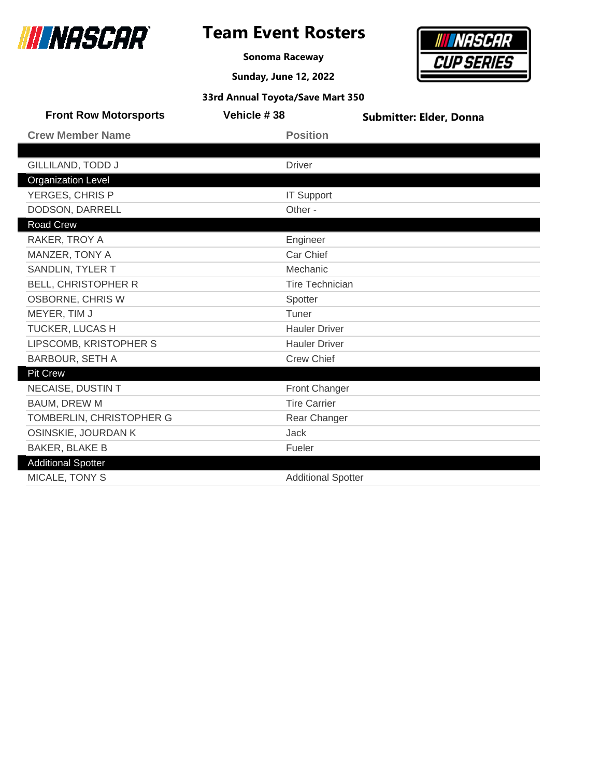

### **Team Event Rosters**

**Sonoma Raceway**



|  | 33rd Annual Toyota/Save Mart 350 |  |
|--|----------------------------------|--|
|--|----------------------------------|--|

| <b>Front Row Motorsports</b> | Vehicle #38               | <b>Submitter: Elder, Donna</b> |
|------------------------------|---------------------------|--------------------------------|
| <b>Crew Member Name</b>      | <b>Position</b>           |                                |
|                              |                           |                                |
| <b>GILLILAND, TODD J</b>     | <b>Driver</b>             |                                |
| <b>Organization Level</b>    |                           |                                |
| YERGES, CHRIS P              | <b>IT Support</b>         |                                |
| DODSON, DARRELL              | Other -                   |                                |
| Road Crew                    |                           |                                |
| RAKER, TROY A                | Engineer                  |                                |
| MANZER, TONY A               | Car Chief                 |                                |
| SANDLIN, TYLER T             | Mechanic                  |                                |
| <b>BELL, CHRISTOPHER R</b>   | <b>Tire Technician</b>    |                                |
| <b>OSBORNE, CHRIS W</b>      | Spotter                   |                                |
| MEYER, TIM J                 | Tuner                     |                                |
| TUCKER, LUCAS H              | <b>Hauler Driver</b>      |                                |
| LIPSCOMB, KRISTOPHER S       | <b>Hauler Driver</b>      |                                |
| <b>BARBOUR, SETH A</b>       | <b>Crew Chief</b>         |                                |
| Pit Crew                     |                           |                                |
| <b>NECAISE, DUSTIN T</b>     | Front Changer             |                                |
| <b>BAUM, DREW M</b>          | <b>Tire Carrier</b>       |                                |
| TOMBERLIN, CHRISTOPHER G     | Rear Changer              |                                |
| OSINSKIE, JOURDAN K          | Jack                      |                                |
| <b>BAKER, BLAKE B</b>        | Fueler                    |                                |
| <b>Additional Spotter</b>    |                           |                                |
| MICALE, TONY S               | <b>Additional Spotter</b> |                                |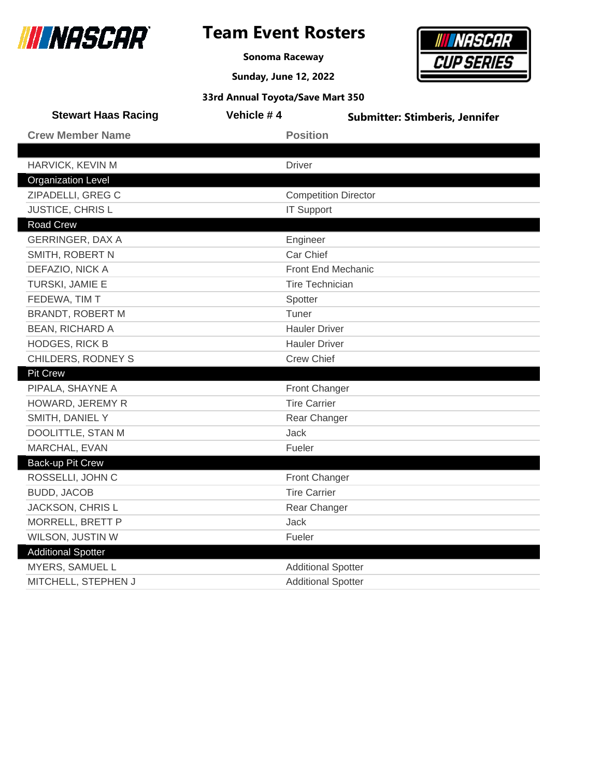

ı

Γ

Γ

 $\overline{\phantom{a}}$ 

### **Team Event Rosters**

**Sonoma Raceway**

**Sunday, June 12, 2022**



| <b>Stewart Haas Racing</b> | Vehicle #4                | <b>Submitter: Stimberis, Jennifer</b> |  |
|----------------------------|---------------------------|---------------------------------------|--|
| <b>Crew Member Name</b>    | <b>Position</b>           |                                       |  |
|                            |                           |                                       |  |
| HARVICK, KEVIN M           | <b>Driver</b>             |                                       |  |
| <b>Organization Level</b>  |                           |                                       |  |
| ZIPADELLI, GREG C          |                           | <b>Competition Director</b>           |  |
| <b>JUSTICE, CHRISL</b>     | <b>IT Support</b>         |                                       |  |
| <b>Road Crew</b>           |                           |                                       |  |
| <b>GERRINGER, DAX A</b>    | Engineer                  |                                       |  |
| SMITH, ROBERT N            | Car Chief                 |                                       |  |
| DEFAZIO, NICK A            |                           | <b>Front End Mechanic</b>             |  |
| TURSKI, JAMIE E            | <b>Tire Technician</b>    |                                       |  |
| FEDEWA, TIM T              | Spotter                   |                                       |  |
| BRANDT, ROBERT M           | Tuner                     |                                       |  |
| <b>BEAN, RICHARD A</b>     | <b>Hauler Driver</b>      |                                       |  |
| <b>HODGES, RICK B</b>      | <b>Hauler Driver</b>      |                                       |  |
| CHILDERS, RODNEY S         | <b>Crew Chief</b>         |                                       |  |
| <b>Pit Crew</b>            |                           |                                       |  |
| PIPALA, SHAYNE A           | Front Changer             |                                       |  |
| HOWARD, JEREMY R           | <b>Tire Carrier</b>       |                                       |  |
| SMITH, DANIEL Y            | Rear Changer              |                                       |  |
| DOOLITTLE, STAN M          | Jack                      |                                       |  |
| MARCHAL, EVAN              | Fueler                    |                                       |  |
| <b>Back-up Pit Crew</b>    |                           |                                       |  |
| ROSSELLI, JOHN C           | Front Changer             |                                       |  |
| <b>BUDD, JACOB</b>         | <b>Tire Carrier</b>       |                                       |  |
| JACKSON, CHRIS L           | Rear Changer              |                                       |  |
| MORRELL, BRETT P           | Jack                      |                                       |  |
| WILSON, JUSTIN W           | Fueler                    |                                       |  |
| <b>Additional Spotter</b>  |                           |                                       |  |
| MYERS, SAMUEL L            | <b>Additional Spotter</b> |                                       |  |
| MITCHELL, STEPHEN J        | <b>Additional Spotter</b> |                                       |  |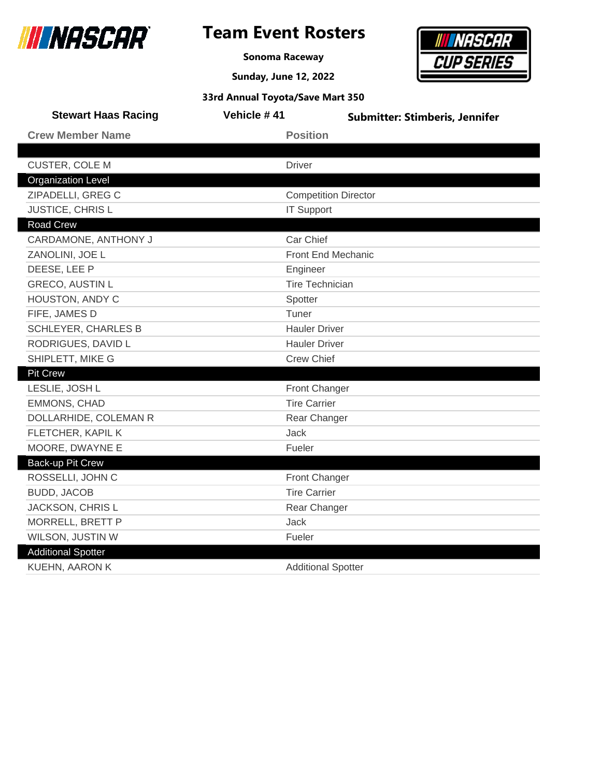

**Sonoma Raceway**

**Sunday, June 12, 2022**



| <b>Stewart Haas Racing</b> | Vehicle #41          | <b>Submitter: Stimberis, Jennifer</b> |  |
|----------------------------|----------------------|---------------------------------------|--|
| <b>Crew Member Name</b>    | <b>Position</b>      |                                       |  |
|                            |                      |                                       |  |
| <b>CUSTER, COLE M</b>      | <b>Driver</b>        |                                       |  |
| <b>Organization Level</b>  |                      |                                       |  |
| ZIPADELLI, GREG C          |                      | <b>Competition Director</b>           |  |
| JUSTICE, CHRIS L           | <b>IT Support</b>    |                                       |  |
| <b>Road Crew</b>           |                      |                                       |  |
| CARDAMONE, ANTHONY J       | Car Chief            |                                       |  |
| ZANOLINI, JOE L            |                      | Front End Mechanic                    |  |
| DEESE, LEE P               | Engineer             |                                       |  |
| <b>GRECO, AUSTIN L</b>     |                      | <b>Tire Technician</b>                |  |
| HOUSTON, ANDY C            | Spotter              |                                       |  |
| FIFE, JAMES D              | Tuner                |                                       |  |
| <b>SCHLEYER, CHARLES B</b> | <b>Hauler Driver</b> |                                       |  |
| RODRIGUES, DAVID L         | <b>Hauler Driver</b> |                                       |  |
| SHIPLETT, MIKE G           | <b>Crew Chief</b>    |                                       |  |
| <b>Pit Crew</b>            |                      |                                       |  |
| LESLIE, JOSH L             | Front Changer        |                                       |  |
| <b>EMMONS, CHAD</b>        | <b>Tire Carrier</b>  |                                       |  |
| DOLLARHIDE, COLEMAN R      | Rear Changer         |                                       |  |
| FLETCHER, KAPIL K          | Jack                 |                                       |  |
| MOORE, DWAYNE E            | Fueler               |                                       |  |
| Back-up Pit Crew           |                      |                                       |  |
| ROSSELLI, JOHN C           | <b>Front Changer</b> |                                       |  |
| <b>BUDD, JACOB</b>         | <b>Tire Carrier</b>  |                                       |  |
| JACKSON, CHRIS L           | Rear Changer         |                                       |  |
| MORRELL, BRETT P           | Jack                 |                                       |  |
| WILSON, JUSTIN W           | Fueler               |                                       |  |
| <b>Additional Spotter</b>  |                      |                                       |  |
| <b>KUEHN, AARON K</b>      |                      | <b>Additional Spotter</b>             |  |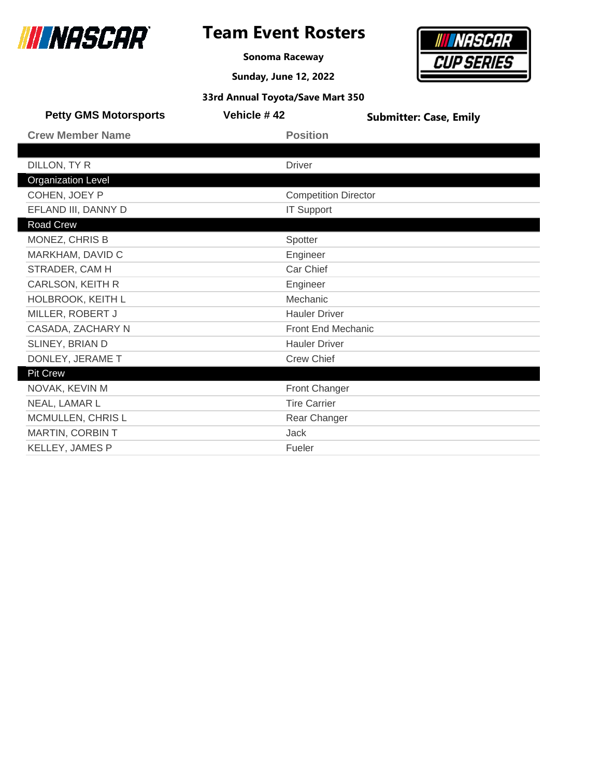

### **Team Event Rosters**

**Sonoma Raceway**

**Sunday, June 12, 2022**



| <b>Petty GMS Motorsports</b> | Vehicle #42 | <b>Submitter: Case, Emily</b> |
|------------------------------|-------------|-------------------------------|
| <b>Crew Member Name</b>      |             | <b>Position</b>               |
|                              |             |                               |
| DILLON, TY R                 |             | <b>Driver</b>                 |
| <b>Organization Level</b>    |             |                               |
| COHEN, JOEY P                |             | <b>Competition Director</b>   |
| EFLAND III, DANNY D          |             | <b>IT Support</b>             |
| Road Crew                    |             |                               |
| MONEZ, CHRIS B               |             | Spotter                       |
| MARKHAM, DAVID C             |             | Engineer                      |
| STRADER, CAM H               |             | Car Chief                     |
| <b>CARLSON, KEITH R</b>      |             | Engineer                      |
| HOLBROOK, KEITH L            |             | Mechanic                      |
| MILLER, ROBERT J             |             | <b>Hauler Driver</b>          |
| CASADA, ZACHARY N            |             | <b>Front End Mechanic</b>     |
| SLINEY, BRIAN D              |             | <b>Hauler Driver</b>          |
| DONLEY, JERAME T             |             | <b>Crew Chief</b>             |
| <b>Pit Crew</b>              |             |                               |
| NOVAK, KEVIN M               |             | <b>Front Changer</b>          |
| NEAL, LAMAR L                |             | <b>Tire Carrier</b>           |
| MCMULLEN, CHRIS L            |             | Rear Changer                  |
| MARTIN, CORBIN T             |             | <b>Jack</b>                   |
| KELLEY, JAMES P              |             | Fueler                        |
|                              |             |                               |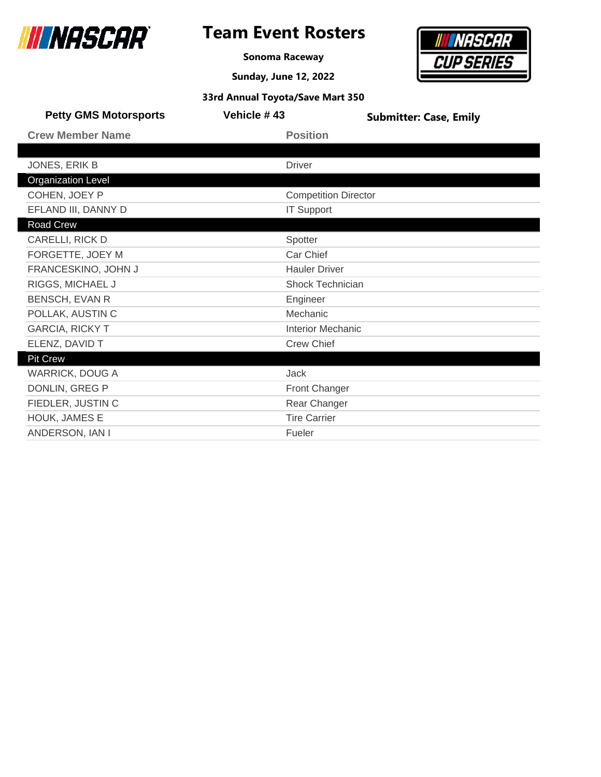

**Sonoma Raceway**

**Sunday, June 12, 2022**



| <b>Petty GMS Motorsports</b> | Vehicle #43                 | <b>Submitter: Case, Emily</b> |
|------------------------------|-----------------------------|-------------------------------|
| <b>Crew Member Name</b>      | <b>Position</b>             |                               |
|                              |                             |                               |
| JONES, ERIK B                | <b>Driver</b>               |                               |
| <b>Organization Level</b>    |                             |                               |
| COHEN, JOEY P                | <b>Competition Director</b> |                               |
| EFLAND III, DANNY D          | <b>IT Support</b>           |                               |
| Road Crew                    |                             |                               |
| CARELLI, RICK D              | Spotter                     |                               |
| FORGETTE, JOEY M             | Car Chief                   |                               |
| FRANCESKINO, JOHN J          | <b>Hauler Driver</b>        |                               |
| RIGGS, MICHAEL J             | Shock Technician            |                               |
| <b>BENSCH, EVAN R</b>        | Engineer                    |                               |
| POLLAK, AUSTIN C             | Mechanic                    |                               |
| <b>GARCIA, RICKY T</b>       | <b>Interior Mechanic</b>    |                               |
| ELENZ, DAVID T               | <b>Crew Chief</b>           |                               |
| Pit Crew                     |                             |                               |
| <b>WARRICK, DOUG A</b>       | <b>Jack</b>                 |                               |
| DONLIN, GREG P               | Front Changer               |                               |
| FIEDLER, JUSTIN C            | Rear Changer                |                               |
| HOUK, JAMES E                | <b>Tire Carrier</b>         |                               |
| ANDERSON, IAN I              | Fueler                      |                               |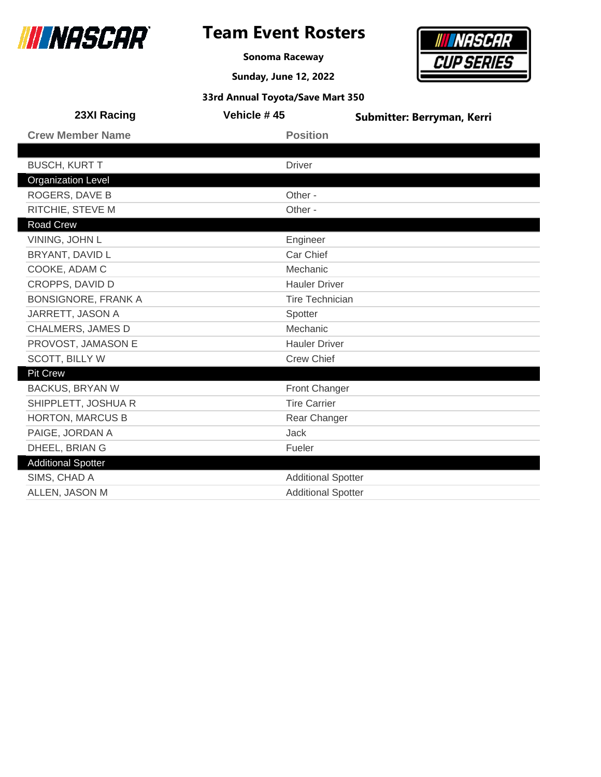

**Sonoma Raceway**

**Sunday, June 12, 2022**



| 23XI Racing                | Vehicle #45               | Submitter: Berryman, Kerri |
|----------------------------|---------------------------|----------------------------|
| <b>Crew Member Name</b>    | <b>Position</b>           |                            |
|                            |                           |                            |
| <b>BUSCH, KURT T</b>       | <b>Driver</b>             |                            |
| <b>Organization Level</b>  |                           |                            |
| ROGERS, DAVE B             | Other -                   |                            |
| RITCHIE, STEVE M           | Other -                   |                            |
| Road Crew                  |                           |                            |
| VINING, JOHN L             | Engineer                  |                            |
| BRYANT, DAVID L            | Car Chief                 |                            |
| COOKE, ADAM C              | Mechanic                  |                            |
| CROPPS, DAVID D            | <b>Hauler Driver</b>      |                            |
| <b>BONSIGNORE, FRANK A</b> | <b>Tire Technician</b>    |                            |
| JARRETT, JASON A           | Spotter                   |                            |
| CHALMERS, JAMES D          | Mechanic                  |                            |
| PROVOST, JAMASON E         | <b>Hauler Driver</b>      |                            |
| <b>SCOTT, BILLY W</b>      | <b>Crew Chief</b>         |                            |
| Pit Crew                   |                           |                            |
| <b>BACKUS, BRYAN W</b>     | Front Changer             |                            |
| SHIPPLETT, JOSHUA R        | <b>Tire Carrier</b>       |                            |
| <b>HORTON, MARCUS B</b>    | Rear Changer              |                            |
| PAIGE, JORDAN A            | <b>Jack</b>               |                            |
| DHEEL, BRIAN G             | Fueler                    |                            |
| <b>Additional Spotter</b>  |                           |                            |
| SIMS, CHAD A               | <b>Additional Spotter</b> |                            |
| ALLEN, JASON M             | <b>Additional Spotter</b> |                            |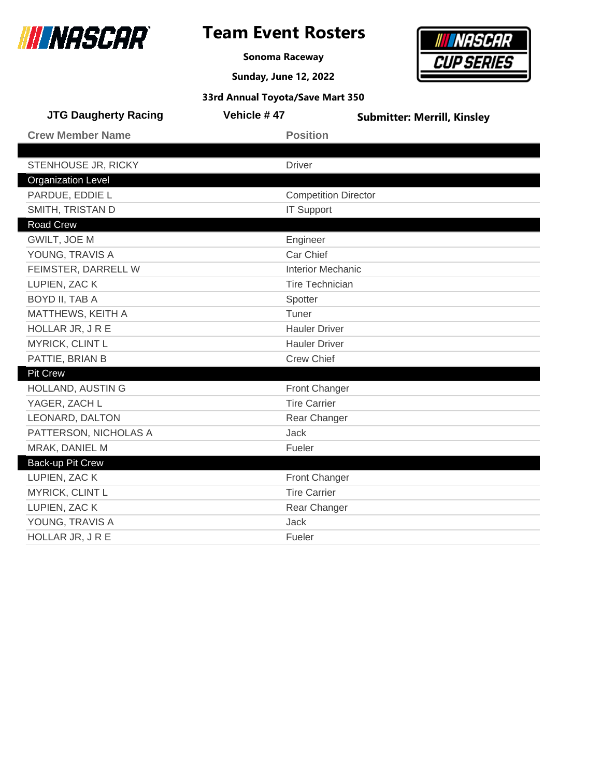

**Sonoma Raceway**

**Sunday, June 12, 2022**



| <b>JTG Daugherty Racing</b> | Vehicle #47                 | <b>Submitter: Merrill, Kinsley</b> |
|-----------------------------|-----------------------------|------------------------------------|
| <b>Crew Member Name</b>     | <b>Position</b>             |                                    |
|                             |                             |                                    |
| STENHOUSE JR, RICKY         | <b>Driver</b>               |                                    |
| <b>Organization Level</b>   |                             |                                    |
| PARDUE, EDDIE L             | <b>Competition Director</b> |                                    |
| SMITH, TRISTAN D            | <b>IT Support</b>           |                                    |
| <b>Road Crew</b>            |                             |                                    |
| GWILT, JOE M                | Engineer                    |                                    |
| YOUNG, TRAVIS A             | Car Chief                   |                                    |
| FEIMSTER, DARRELL W         | <b>Interior Mechanic</b>    |                                    |
| LUPIEN, ZAC K               | <b>Tire Technician</b>      |                                    |
| BOYD II, TAB A              | Spotter                     |                                    |
| MATTHEWS, KEITH A           | Tuner                       |                                    |
| HOLLAR JR, JRE              | <b>Hauler Driver</b>        |                                    |
| MYRICK, CLINT L             | <b>Hauler Driver</b>        |                                    |
| PATTIE, BRIAN B             | <b>Crew Chief</b>           |                                    |
| <b>Pit Crew</b>             |                             |                                    |
| HOLLAND, AUSTIN G           | Front Changer               |                                    |
| YAGER, ZACH L               | <b>Tire Carrier</b>         |                                    |
| LEONARD, DALTON             | Rear Changer                |                                    |
| PATTERSON, NICHOLAS A       | <b>Jack</b>                 |                                    |
| MRAK, DANIEL M              | Fueler                      |                                    |
| Back-up Pit Crew            |                             |                                    |
| LUPIEN, ZAC K               | Front Changer               |                                    |
| MYRICK, CLINT L             | <b>Tire Carrier</b>         |                                    |
| LUPIEN, ZAC K               | Rear Changer                |                                    |
| YOUNG, TRAVIS A             | <b>Jack</b>                 |                                    |
| HOLLAR JR, JRE              | Fueler                      |                                    |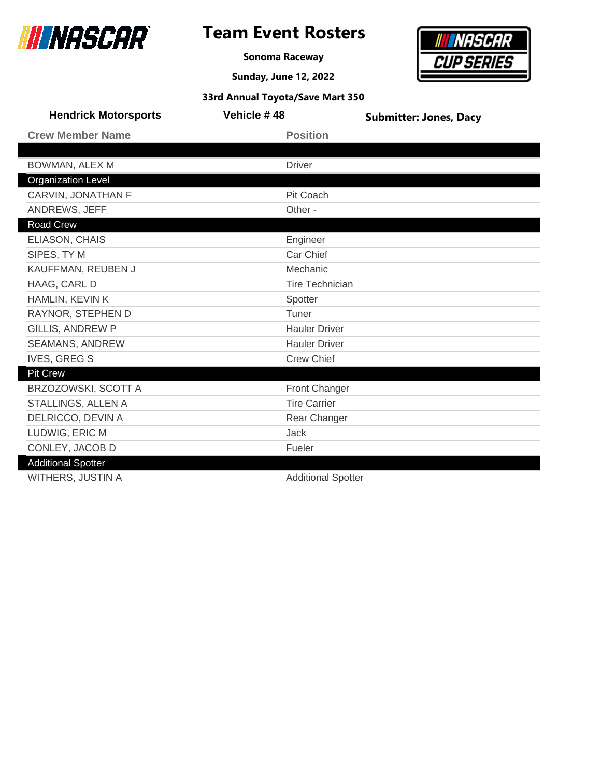

ı

L

Γ

### **Team Event Rosters**

**Sonoma Raceway**



|  | 33rd Annual Toyota/Save Mart 350 |  |  |
|--|----------------------------------|--|--|
|--|----------------------------------|--|--|

| <b>Hendrick Motorsports</b> | Vehicle #48               | <b>Submitter: Jones, Dacy</b> |
|-----------------------------|---------------------------|-------------------------------|
| <b>Crew Member Name</b>     | <b>Position</b>           |                               |
|                             |                           |                               |
| BOWMAN, ALEX M              | <b>Driver</b>             |                               |
| <b>Organization Level</b>   |                           |                               |
| CARVIN, JONATHAN F          | Pit Coach                 |                               |
| ANDREWS, JEFF               | Other -                   |                               |
| <b>Road Crew</b>            |                           |                               |
| ELIASON, CHAIS              | Engineer                  |                               |
| SIPES, TY M                 | Car Chief                 |                               |
| KAUFFMAN, REUBEN J          | Mechanic                  |                               |
| HAAG, CARL D                | <b>Tire Technician</b>    |                               |
| HAMLIN, KEVIN K             | Spotter                   |                               |
| RAYNOR, STEPHEN D           | Tuner                     |                               |
| <b>GILLIS, ANDREW P</b>     | <b>Hauler Driver</b>      |                               |
| <b>SEAMANS, ANDREW</b>      | <b>Hauler Driver</b>      |                               |
| <b>IVES, GREG S</b>         | <b>Crew Chief</b>         |                               |
| Pit Crew                    |                           |                               |
| BRZOZOWSKI, SCOTT A         | Front Changer             |                               |
| STALLINGS, ALLEN A          | <b>Tire Carrier</b>       |                               |
| DELRICCO, DEVIN A           | Rear Changer              |                               |
| LUDWIG, ERIC M              | <b>Jack</b>               |                               |
| CONLEY, JACOB D             | Fueler                    |                               |
| <b>Additional Spotter</b>   |                           |                               |
| <b>WITHERS, JUSTIN A</b>    | <b>Additional Spotter</b> |                               |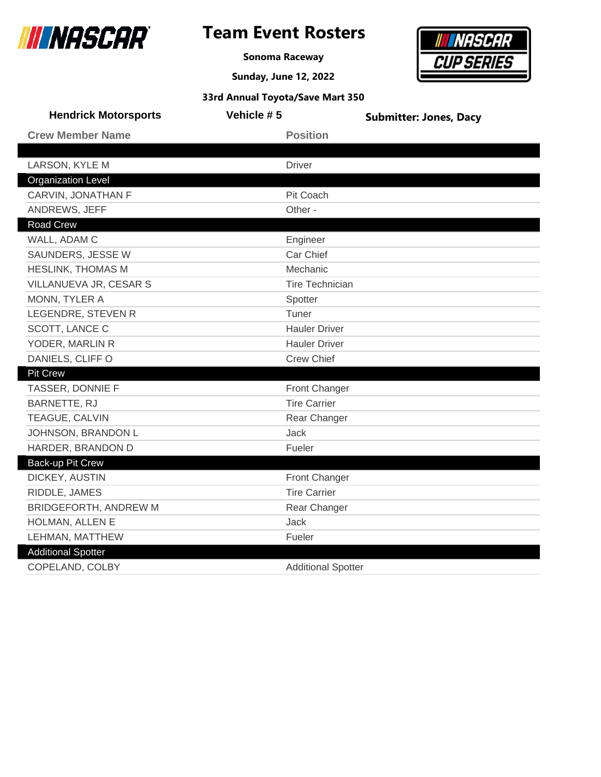

### **Team Event Rosters**

**Sonoma Raceway**



|  | 33rd Annual Toyota/Save Mart 350 |  |
|--|----------------------------------|--|
|--|----------------------------------|--|

| <b>Hendrick Motorsports</b> | Vehicle #5                | <b>Submitter: Jones, Dacy</b> |
|-----------------------------|---------------------------|-------------------------------|
| <b>Crew Member Name</b>     | <b>Position</b>           |                               |
|                             |                           |                               |
| LARSON, KYLE M              | <b>Driver</b>             |                               |
| <b>Organization Level</b>   |                           |                               |
| CARVIN, JONATHAN F          | Pit Coach                 |                               |
| ANDREWS, JEFF               | Other -                   |                               |
| Road Crew                   |                           |                               |
| WALL, ADAM C                | Engineer                  |                               |
| SAUNDERS, JESSE W           | Car Chief                 |                               |
| <b>HESLINK, THOMAS M</b>    | Mechanic                  |                               |
| VILLANUEVA JR, CESAR S      | <b>Tire Technician</b>    |                               |
| MONN, TYLER A               | Spotter                   |                               |
| LEGENDRE, STEVEN R          | Tuner                     |                               |
| SCOTT, LANCE C              | <b>Hauler Driver</b>      |                               |
| YODER, MARLIN R             | <b>Hauler Driver</b>      |                               |
| DANIELS, CLIFF O            | <b>Crew Chief</b>         |                               |
| <b>Pit Crew</b>             |                           |                               |
| TASSER, DONNIE F            | Front Changer             |                               |
| <b>BARNETTE, RJ</b>         | <b>Tire Carrier</b>       |                               |
| TEAGUE, CALVIN              | Rear Changer              |                               |
| JOHNSON, BRANDON L          | <b>Jack</b>               |                               |
| HARDER, BRANDON D           | Fueler                    |                               |
| Back-up Pit Crew            |                           |                               |
| DICKEY, AUSTIN              | Front Changer             |                               |
| RIDDLE, JAMES               | <b>Tire Carrier</b>       |                               |
| BRIDGEFORTH, ANDREW M       | Rear Changer              |                               |
| HOLMAN, ALLEN E             | <b>Jack</b>               |                               |
| LEHMAN, MATTHEW             | Fueler                    |                               |
| <b>Additional Spotter</b>   |                           |                               |
| COPELAND, COLBY             | <b>Additional Spotter</b> |                               |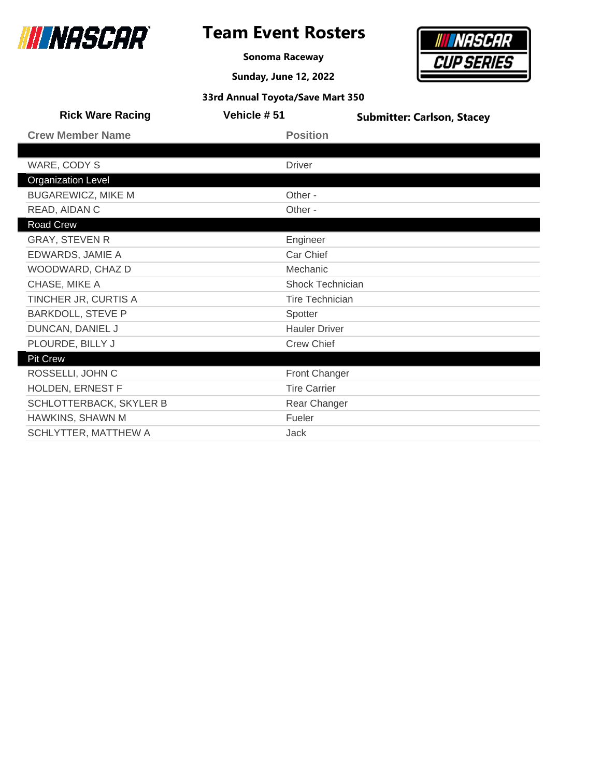

**Sonoma Raceway**

**Sunday, June 12, 2022**



| <b>Rick Ware Racing</b>     | Vehicle #51 | <b>Submitter: Carlson, Stacey</b> |
|-----------------------------|-------------|-----------------------------------|
| <b>Crew Member Name</b>     |             | <b>Position</b>                   |
|                             |             |                                   |
| WARE, CODY S                | Driver      |                                   |
| <b>Organization Level</b>   |             |                                   |
| <b>BUGAREWICZ, MIKE M</b>   | Other -     |                                   |
| READ, AIDAN C               | Other -     |                                   |
| Road Crew                   |             |                                   |
| <b>GRAY, STEVEN R</b>       |             | Engineer                          |
| EDWARDS, JAMIE A            |             | Car Chief                         |
| WOODWARD, CHAZ D            |             | Mechanic                          |
| CHASE, MIKE A               |             | <b>Shock Technician</b>           |
| TINCHER JR, CURTIS A        |             | <b>Tire Technician</b>            |
| <b>BARKDOLL, STEVE P</b>    | Spotter     |                                   |
| DUNCAN, DANIEL J            |             | <b>Hauler Driver</b>              |
| PLOURDE, BILLY J            |             | <b>Crew Chief</b>                 |
| <b>Pit Crew</b>             |             |                                   |
| ROSSELLI, JOHN C            |             | Front Changer                     |
| HOLDEN, ERNEST F            |             | <b>Tire Carrier</b>               |
| SCHLOTTERBACK, SKYLER B     |             | Rear Changer                      |
| HAWKINS, SHAWN M            | Fueler      |                                   |
| <b>SCHLYTTER, MATTHEW A</b> | Jack        |                                   |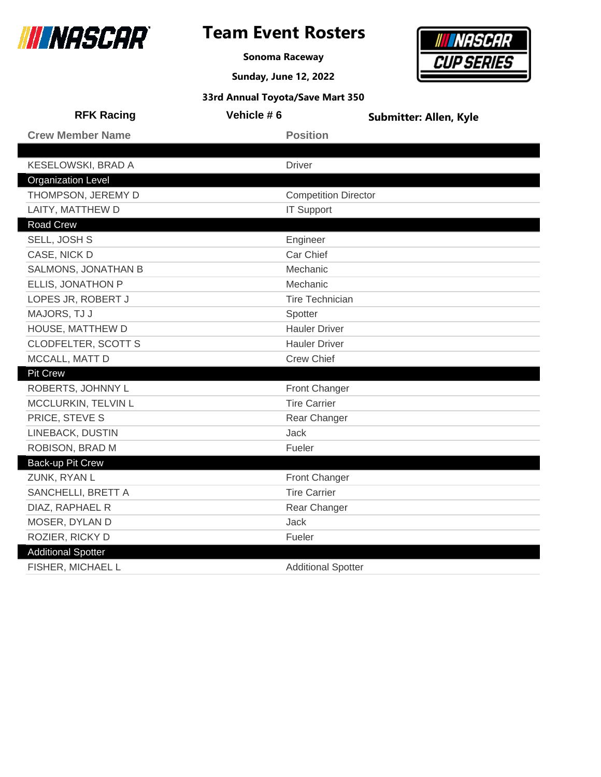

**Sonoma Raceway**

**Sunday, June 12, 2022**

# **INASCAR CUP SERIES**

| 33rd Annual Toyota/Save Mart 350 |                             |                               |  |
|----------------------------------|-----------------------------|-------------------------------|--|
| <b>RFK Racing</b>                | Vehicle #6                  | <b>Submitter: Allen, Kyle</b> |  |
| <b>Crew Member Name</b>          | <b>Position</b>             |                               |  |
|                                  |                             |                               |  |
| KESELOWSKI, BRAD A               | <b>Driver</b>               |                               |  |
| <b>Organization Level</b>        |                             |                               |  |
| THOMPSON, JEREMY D               | <b>Competition Director</b> |                               |  |
| LAITY, MATTHEW D                 | <b>IT Support</b>           |                               |  |
| <b>Road Crew</b>                 |                             |                               |  |
| SELL, JOSH S                     | Engineer                    |                               |  |
| CASE, NICK D                     | Car Chief                   |                               |  |
| SALMONS, JONATHAN B              | Mechanic                    |                               |  |
| ELLIS, JONATHON P                | Mechanic                    |                               |  |
| LOPES JR, ROBERT J               | <b>Tire Technician</b>      |                               |  |
| MAJORS, TJ J                     | Spotter                     |                               |  |
| HOUSE, MATTHEW D                 | <b>Hauler Driver</b>        |                               |  |
| <b>CLODFELTER, SCOTT S</b>       | <b>Hauler Driver</b>        |                               |  |
| MCCALL, MATT D                   | <b>Crew Chief</b>           |                               |  |
| <b>Pit Crew</b>                  |                             |                               |  |
| ROBERTS, JOHNNY L                | <b>Front Changer</b>        |                               |  |
| MCCLURKIN, TELVIN L              | <b>Tire Carrier</b>         |                               |  |
| PRICE, STEVE S                   | Rear Changer                |                               |  |
| LINEBACK, DUSTIN                 | Jack                        |                               |  |
| ROBISON, BRAD M                  | Fueler                      |                               |  |
| Back-up Pit Crew                 |                             |                               |  |
| ZUNK, RYAN L                     | Front Changer               |                               |  |
| SANCHELLI, BRETT A               | <b>Tire Carrier</b>         |                               |  |
| DIAZ, RAPHAEL R                  | Rear Changer                |                               |  |
| MOSER, DYLAN D                   | <b>Jack</b>                 |                               |  |
| ROZIER, RICKY D                  | Fueler                      |                               |  |
| <b>Additional Spotter</b>        |                             |                               |  |
| FISHER, MICHAEL L                | <b>Additional Spotter</b>   |                               |  |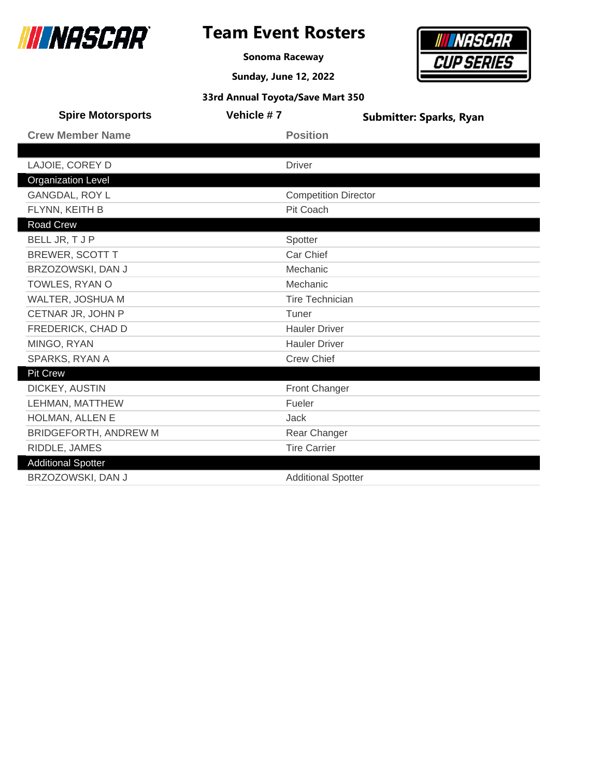

I

I

# **Team Event Rosters**

**Sonoma Raceway**

**Sunday, June 12, 2022**



| <b>Spire Motorsports</b>  | Vehicle #7 |                             | <b>Submitter: Sparks, Ryan</b> |
|---------------------------|------------|-----------------------------|--------------------------------|
| <b>Crew Member Name</b>   |            | <b>Position</b>             |                                |
|                           |            |                             |                                |
| LAJOIE, COREY D           |            | <b>Driver</b>               |                                |
| <b>Organization Level</b> |            |                             |                                |
| <b>GANGDAL, ROY L</b>     |            | <b>Competition Director</b> |                                |
| FLYNN, KEITH B            |            | <b>Pit Coach</b>            |                                |
| Road Crew                 |            |                             |                                |
| BELL JR, T J P            |            | Spotter                     |                                |
| <b>BREWER, SCOTT T</b>    |            | Car Chief                   |                                |
| BRZOZOWSKI, DAN J         |            | Mechanic                    |                                |
| TOWLES, RYAN O            |            | Mechanic                    |                                |
| WALTER, JOSHUA M          |            | <b>Tire Technician</b>      |                                |
| CETNAR JR, JOHN P         |            | Tuner                       |                                |
| FREDERICK, CHAD D         |            | <b>Hauler Driver</b>        |                                |
| MINGO, RYAN               |            | <b>Hauler Driver</b>        |                                |
| SPARKS, RYAN A            |            | <b>Crew Chief</b>           |                                |
| <b>Pit Crew</b>           |            |                             |                                |
| DICKEY, AUSTIN            |            | Front Changer               |                                |
| LEHMAN, MATTHEW           |            | Fueler                      |                                |
| HOLMAN, ALLEN E           |            | <b>Jack</b>                 |                                |
| BRIDGEFORTH, ANDREW M     |            | Rear Changer                |                                |
| RIDDLE, JAMES             |            | <b>Tire Carrier</b>         |                                |
| <b>Additional Spotter</b> |            |                             |                                |
| BRZOZOWSKI, DAN J         |            | <b>Additional Spotter</b>   |                                |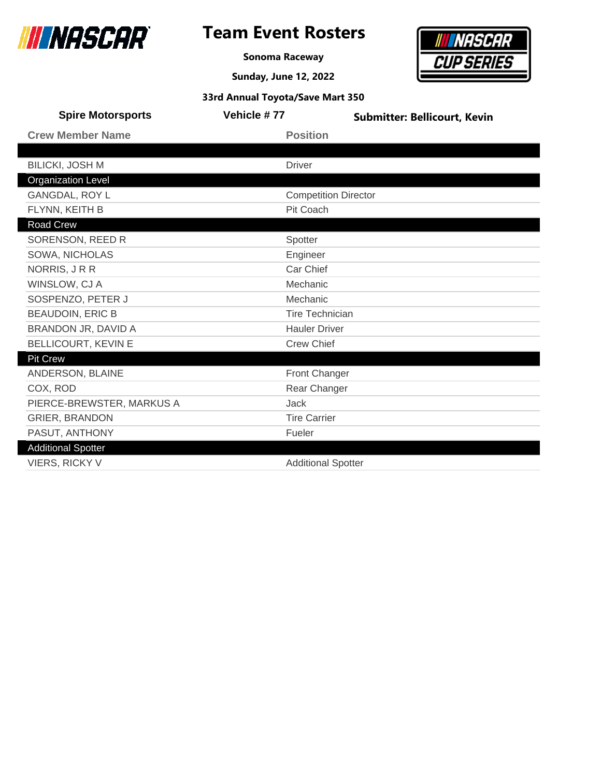

### **Team Event Rosters**

**Sonoma Raceway**

**Sunday, June 12, 2022**



| <b>Spire Motorsports</b>  | Vehicle #77 | <b>Submitter: Bellicourt, Kevin</b> |
|---------------------------|-------------|-------------------------------------|
| <b>Crew Member Name</b>   |             | <b>Position</b>                     |
|                           |             |                                     |
| <b>BILICKI, JOSH M</b>    |             | <b>Driver</b>                       |
| <b>Organization Level</b> |             |                                     |
| <b>GANGDAL, ROY L</b>     |             | <b>Competition Director</b>         |
| FLYNN, KEITH B            |             | Pit Coach                           |
| Road Crew                 |             |                                     |
| SORENSON, REED R          |             | Spotter                             |
| SOWA, NICHOLAS            |             | Engineer                            |
| NORRIS, JRR               |             | Car Chief                           |
| WINSLOW, CJ A             |             | Mechanic                            |
| SOSPENZO, PETER J         |             | Mechanic                            |
| <b>BEAUDOIN, ERIC B</b>   |             | <b>Tire Technician</b>              |
| BRANDON JR, DAVID A       |             | <b>Hauler Driver</b>                |
| BELLICOURT, KEVIN E       |             | <b>Crew Chief</b>                   |
| <b>Pit Crew</b>           |             |                                     |
| ANDERSON, BLAINE          |             | Front Changer                       |
| COX, ROD                  |             | Rear Changer                        |
| PIERCE-BREWSTER, MARKUS A |             | Jack                                |
| <b>GRIER, BRANDON</b>     |             | <b>Tire Carrier</b>                 |
| PASUT, ANTHONY            |             | Fueler                              |
| <b>Additional Spotter</b> |             |                                     |
| <b>VIERS, RICKY V</b>     |             | <b>Additional Spotter</b>           |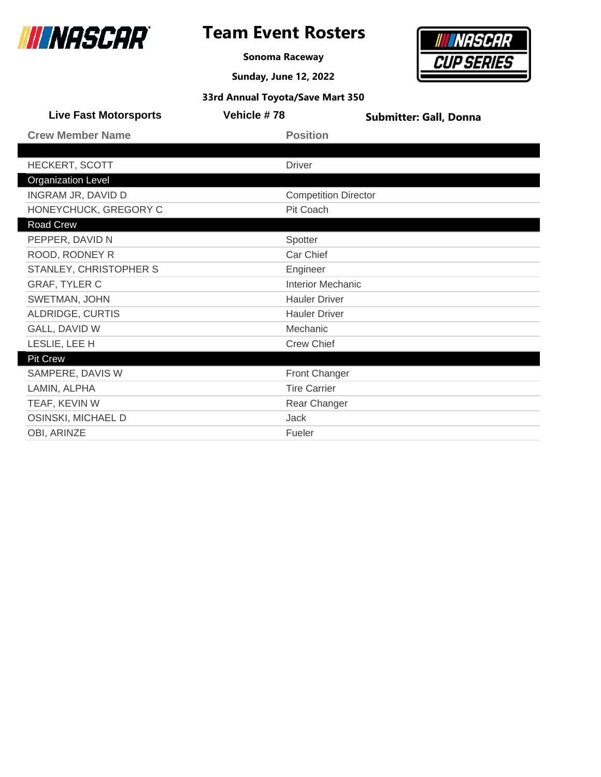

**Sonoma Raceway**

**Sunday, June 12, 2022**



| <b>Live Fast Motorsports</b> | Vehicle #78                 | <b>Submitter: Gall, Donna</b> |
|------------------------------|-----------------------------|-------------------------------|
| <b>Crew Member Name</b>      | <b>Position</b>             |                               |
|                              |                             |                               |
| <b>HECKERT, SCOTT</b>        | Driver                      |                               |
| <b>Organization Level</b>    |                             |                               |
| INGRAM JR, DAVID D           | <b>Competition Director</b> |                               |
| HONEYCHUCK, GREGORY C        | Pit Coach                   |                               |
| Road Crew                    |                             |                               |
| PEPPER, DAVID N              | Spotter                     |                               |
| ROOD, RODNEY R               | Car Chief                   |                               |
| STANLEY, CHRISTOPHER S       | Engineer                    |                               |
| <b>GRAF, TYLER C</b>         | <b>Interior Mechanic</b>    |                               |
| SWETMAN, JOHN                | <b>Hauler Driver</b>        |                               |
| ALDRIDGE, CURTIS             | <b>Hauler Driver</b>        |                               |
| GALL, DAVID W                | Mechanic                    |                               |
| LESLIE, LEE H                | <b>Crew Chief</b>           |                               |
| <b>Pit Crew</b>              |                             |                               |
| SAMPERE, DAVIS W             | <b>Front Changer</b>        |                               |
| LAMIN, ALPHA                 | <b>Tire Carrier</b>         |                               |
| TEAF, KEVIN W                | Rear Changer                |                               |
| OSINSKI, MICHAEL D           | Jack                        |                               |
| OBI, ARINZE                  | Fueler                      |                               |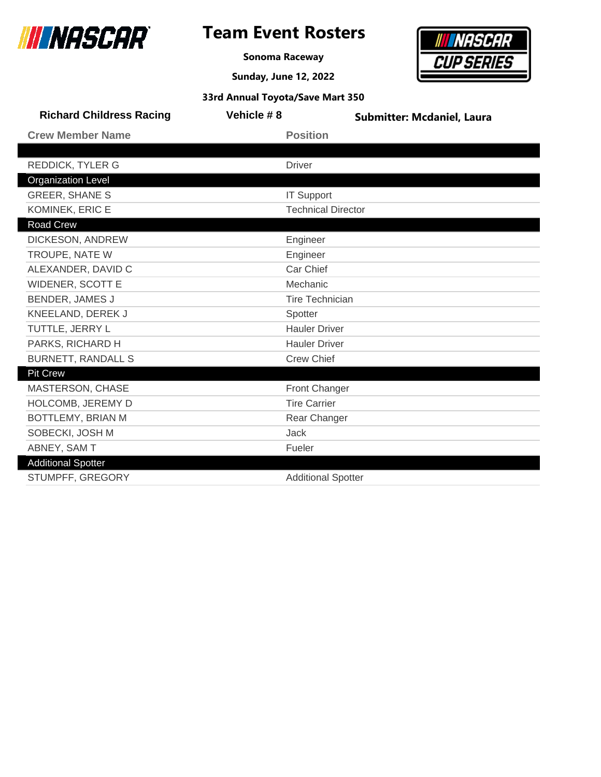

г

### **Team Event Rosters**

**Sonoma Raceway**

**Sunday, June 12, 2022**



| <b>Richard Childress Racing</b> | Vehicle #8 | <b>Submitter: Mcdaniel, Laura</b> |
|---------------------------------|------------|-----------------------------------|
| <b>Crew Member Name</b>         |            | <b>Position</b>                   |
|                                 |            |                                   |
| <b>REDDICK, TYLER G</b>         |            | <b>Driver</b>                     |
| <b>Organization Level</b>       |            |                                   |
| <b>GREER, SHANE S</b>           |            | <b>IT Support</b>                 |
| KOMINEK, ERIC E                 |            | <b>Technical Director</b>         |
| Road Crew                       |            |                                   |
| DICKESON, ANDREW                |            | Engineer                          |
| TROUPE, NATE W                  |            | Engineer                          |
| ALEXANDER, DAVID C              |            | Car Chief                         |
| <b>WIDENER, SCOTT E</b>         |            | Mechanic                          |
| <b>BENDER, JAMES J</b>          |            | <b>Tire Technician</b>            |
| KNEELAND, DEREK J               |            | Spotter                           |
| TUTTLE, JERRY L                 |            | <b>Hauler Driver</b>              |
| PARKS, RICHARD H                |            | <b>Hauler Driver</b>              |
| <b>BURNETT, RANDALL S</b>       |            | <b>Crew Chief</b>                 |
| <b>Pit Crew</b>                 |            |                                   |
| MASTERSON, CHASE                |            | Front Changer                     |
| HOLCOMB, JEREMY D               |            | <b>Tire Carrier</b>               |
| BOTTLEMY, BRIAN M               |            | Rear Changer                      |
| SOBECKI, JOSH M                 |            | Jack                              |
| ABNEY, SAM T                    |            | Fueler                            |
| <b>Additional Spotter</b>       |            |                                   |
| STUMPFF, GREGORY                |            | <b>Additional Spotter</b>         |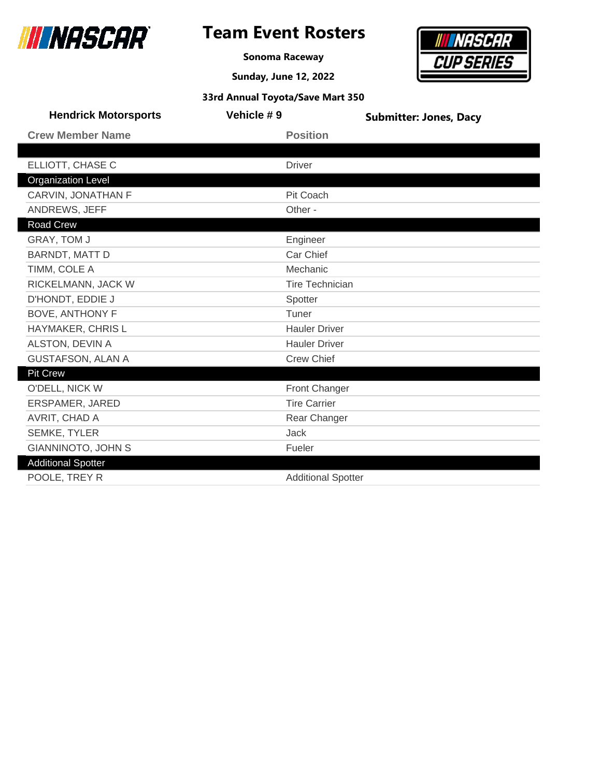

### **Team Event Rosters**

**Sonoma Raceway**



| <b>Hendrick Motorsports</b> | Vehicle #9 | <b>Submitter: Jones, Dacy</b> |
|-----------------------------|------------|-------------------------------|
| <b>Crew Member Name</b>     |            | <b>Position</b>               |
|                             |            |                               |
| ELLIOTT, CHASE C            |            | <b>Driver</b>                 |
| <b>Organization Level</b>   |            |                               |
| CARVIN, JONATHAN F          |            | Pit Coach                     |
| ANDREWS, JEFF               |            | Other -                       |
| Road Crew                   |            |                               |
| <b>GRAY, TOM J</b>          |            | Engineer                      |
| <b>BARNDT, MATT D</b>       |            | Car Chief                     |
| TIMM, COLE A                |            | Mechanic                      |
| RICKELMANN, JACK W          |            | <b>Tire Technician</b>        |
| D'HONDT, EDDIE J            |            | Spotter                       |
| <b>BOVE, ANTHONY F</b>      |            | Tuner                         |
| HAYMAKER, CHRIS L           |            | <b>Hauler Driver</b>          |
| ALSTON, DEVIN A             |            | <b>Hauler Driver</b>          |
| <b>GUSTAFSON, ALAN A</b>    |            | <b>Crew Chief</b>             |
| <b>Pit Crew</b>             |            |                               |
| O'DELL, NICK W              |            | <b>Front Changer</b>          |
| ERSPAMER, JARED             |            | <b>Tire Carrier</b>           |
| AVRIT, CHAD A               |            | Rear Changer                  |
| SEMKE, TYLER                |            | <b>Jack</b>                   |
| <b>GIANNINOTO, JOHN S</b>   |            | Fueler                        |
| <b>Additional Spotter</b>   |            |                               |
| POOLE, TREY R               |            | <b>Additional Spotter</b>     |